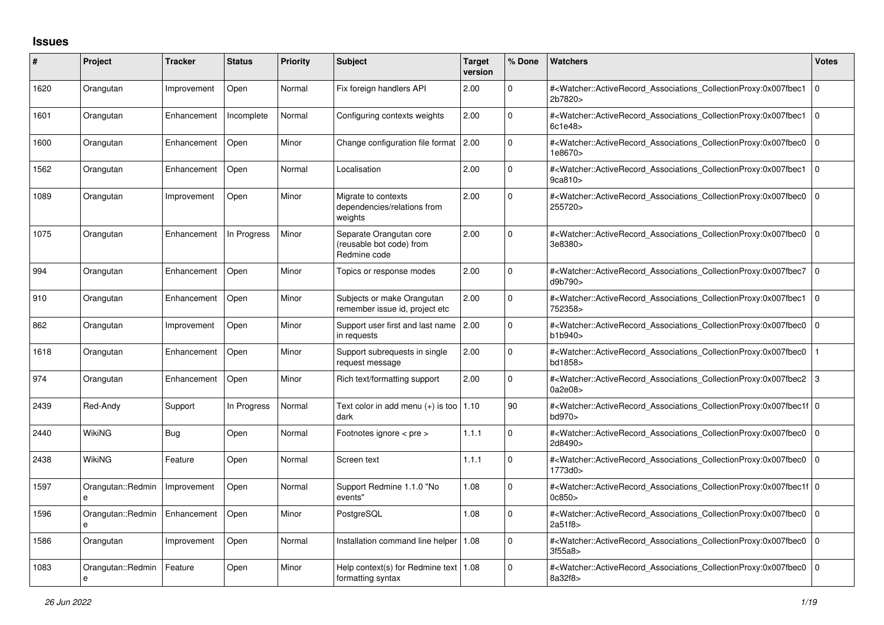## **Issues**

| $\#$ | Project                       | <b>Tracker</b> | <b>Status</b> | <b>Priority</b> | <b>Subject</b>                                                      | <b>Target</b><br>version | % Done      | <b>Watchers</b>                                                                                                                                           | <b>Votes</b> |
|------|-------------------------------|----------------|---------------|-----------------|---------------------------------------------------------------------|--------------------------|-------------|-----------------------------------------------------------------------------------------------------------------------------------------------------------|--------------|
| 1620 | Orangutan                     | Improvement    | Open          | Normal          | Fix foreign handlers API                                            | 2.00                     | 0           | # <watcher::activerecord associations="" collectionproxy:0x007fbec1<br="">2b7820&gt;</watcher::activerecord>                                              | l O          |
| 1601 | Orangutan                     | Enhancement    | Incomplete    | Normal          | Configuring contexts weights                                        | 2.00                     | $\mathbf 0$ | # <watcher::activerecord associations="" collectionproxy:0x007fbec1<br="">6c1e48&gt;</watcher::activerecord>                                              | l O          |
| 1600 | Orangutan                     | Enhancement    | Open          | Minor           | Change configuration file format 2.00                               |                          | $\Omega$    | # <watcher::activerecord associations="" collectionproxy:0x007fbec0<br="">1e8670&gt;</watcher::activerecord>                                              | l 0          |
| 1562 | Orangutan                     | Enhancement    | Open          | Normal          | Localisation                                                        | 2.00                     | $\Omega$    | # <watcher::activerecord_associations_collectionproxy:0x007fbec1<br>9ca810</watcher::activerecord_associations_collectionproxy:0x007fbec1<br>             | l O          |
| 1089 | Orangutan                     | Improvement    | Open          | Minor           | Migrate to contexts<br>dependencies/relations from<br>weights       | 2.00                     | $\Omega$    | # <watcher::activerecord associations="" collectionproxy:0x007fbec0<br="">255720&gt;</watcher::activerecord>                                              | 10           |
| 1075 | Orangutan                     | Enhancement    | In Progress   | Minor           | Separate Orangutan core<br>(reusable bot code) from<br>Redmine code | 2.00                     | 0           | # <watcher::activerecord associations="" collectionproxy:0x007fbec0<br="">3e8380&gt;</watcher::activerecord>                                              | l 0          |
| 994  | Orangutan                     | Enhancement    | Open          | Minor           | Topics or response modes                                            | 2.00                     | 0           | # <watcher::activerecord 0<br="" associations="" collectionproxy:0x007fbec7=""  ="">d9b790&gt;</watcher::activerecord>                                    |              |
| 910  | Orangutan                     | Enhancement    | Open          | Minor           | Subjects or make Orangutan<br>remember issue id, project etc        | 2.00                     | $\Omega$    | # <watcher::activerecord_associations_collectionproxy:0x007fbec1<br>752358&gt;</watcher::activerecord_associations_collectionproxy:0x007fbec1<br>         | I٥           |
| 862  | Orangutan                     | Improvement    | Open          | Minor           | Support user first and last name<br>in requests                     | 2.00                     | $\Omega$    | # <watcher::activerecord_associations_collectionproxy:0x007fbec0 0<br="">b1b940&gt;</watcher::activerecord_associations_collectionproxy:0x007fbec0>       |              |
| 1618 | Orangutan                     | Enhancement    | Open          | Minor           | Support subrequests in single<br>request message                    | 2.00                     | $\Omega$    | # <watcher::activerecord associations="" collectionproxy:0x007fbec0<br="">bd1858&gt;</watcher::activerecord>                                              |              |
| 974  | Orangutan                     | Enhancement    | Open          | Minor           | Rich text/formatting support                                        | 2.00                     | $\mathbf 0$ | # <watcher::activerecord 3<br="" associations="" collectionproxy:0x007fbec2="">0a2e08&gt;</watcher::activerecord>                                         |              |
| 2439 | Red-Andy                      | Support        | In Progress   | Normal          | Text color in add menu $(+)$ is too $\vert 1.10 \rangle$<br>dark    |                          | 90          | # <watcher::activerecord_associations_collectionproxy:0x007fbec1f 0<br=""  ="">bd970&gt;</watcher::activerecord_associations_collectionproxy:0x007fbec1f> |              |
| 2440 | WikiNG                        | <b>Bug</b>     | Open          | Normal          | Footnotes ignore < pre >                                            | 1.1.1                    | $\Omega$    | # <watcher::activerecord_associations_collectionproxy:0x007fbec0<br>2d8490&gt;</watcher::activerecord_associations_collectionproxy:0x007fbec0<br>         | l O          |
| 2438 | <b>WikiNG</b>                 | Feature        | Open          | Normal          | Screen text                                                         | 1.1.1                    | $\Omega$    | # <watcher::activerecord_associations_collectionproxy:0x007fbec0 0<br=""  ="">1773d0</watcher::activerecord_associations_collectionproxy:0x007fbec0>      |              |
| 1597 | Orangutan::Redmin<br>$\theta$ | Improvement    | Open          | Normal          | Support Redmine 1.1.0 "No<br>events"                                | 1.08                     | $\Omega$    | # <watcher::activerecord 0<br="" associations="" collectionproxy:0x007fbec1f=""  ="">0c850</watcher::activerecord>                                        |              |
| 1596 | Orangutan::Redmin<br>e        | Enhancement    | Open          | Minor           | PostgreSQL                                                          | 1.08                     | $\mathbf 0$ | # <watcher::activerecord 0<br="" associations="" collectionproxy:0x007fbec0=""  ="">2a51f8&gt;</watcher::activerecord>                                    |              |
| 1586 | Orangutan                     | Improvement    | Open          | Normal          | Installation command line helper                                    | 1.08                     | $\Omega$    | # <watcher::activerecord associations="" collectionproxy:0x007fbec0<br="">3f55a8&gt;</watcher::activerecord>                                              | l O          |
| 1083 | Orangutan::Redmin<br>e        | Feature        | Open          | Minor           | Help context(s) for Redmine text<br>formatting syntax               | 1.08                     | $\Omega$    | # <watcher::activerecord_associations_collectionproxy:0x007fbec0<br>8a32f8&gt;</watcher::activerecord_associations_collectionproxy:0x007fbec0<br>         | l O          |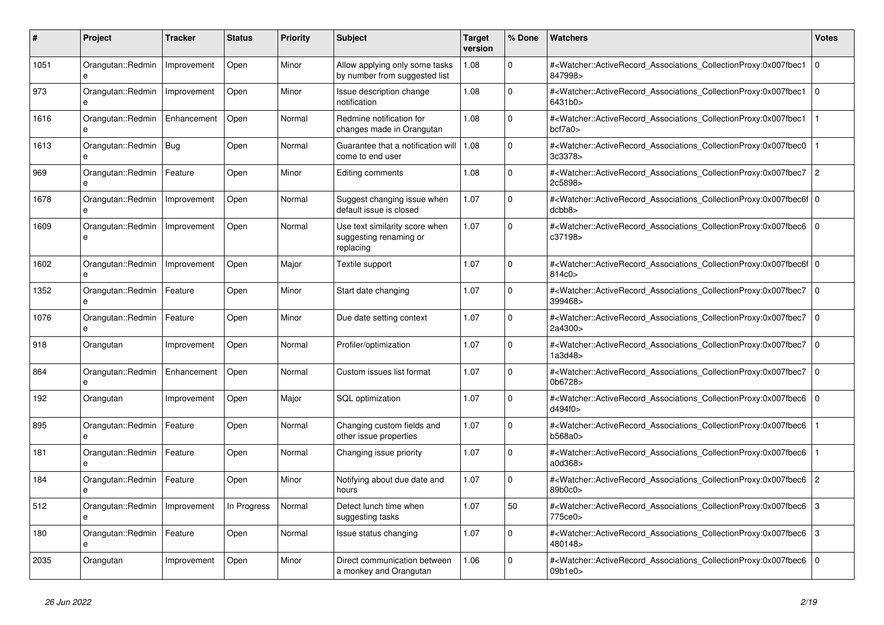| #    | <b>Project</b>                    | Tracker     | <b>Status</b> | <b>Priority</b> | <b>Subject</b>                                                        | <b>Target</b><br>version | % Done       | <b>Watchers</b>                                                                                                                                           | <b>Votes</b>   |
|------|-----------------------------------|-------------|---------------|-----------------|-----------------------------------------------------------------------|--------------------------|--------------|-----------------------------------------------------------------------------------------------------------------------------------------------------------|----------------|
| 1051 | Orangutan::Redmin<br>e            | Improvement | Open          | Minor           | Allow applying only some tasks<br>by number from suggested list       | 1.08                     | $\Omega$     | # <watcher::activerecord_associations_collectionproxy:0x007fbec1<br>847998&gt;</watcher::activerecord_associations_collectionproxy:0x007fbec1<br>         | $\mathbf 0$    |
| 973  | Orangutan::Redmin<br>e            | Improvement | Open          | Minor           | Issue description change<br>notification                              | 1.08                     | $\Omega$     | # <watcher::activerecord_associations_collectionproxy:0x007fbec1<br>6431b0&gt;</watcher::activerecord_associations_collectionproxy:0x007fbec1<br>         | $\Omega$       |
| 1616 | Orangutan::Redmin<br>$\mathbf{a}$ | Enhancement | Open          | Normal          | Redmine notification for<br>changes made in Orangutan                 | 1.08                     | $\Omega$     | # <watcher::activerecord associations="" collectionproxy:0x007fbec1<br="">bcf7a0&gt;</watcher::activerecord>                                              | $\mathbf 1$    |
| 1613 | Orangutan::Redmin                 | Bug         | Open          | Normal          | Guarantee that a notification will<br>come to end user                | 1.08                     | $\Omega$     | # <watcher::activerecord_associations_collectionproxy:0x007fbec0<br>3c3378&gt;</watcher::activerecord_associations_collectionproxy:0x007fbec0<br>         |                |
| 969  | Orangutan::Redmin<br>e            | Feature     | Open          | Minor           | Editing comments                                                      | 1.08                     | $\Omega$     | # <watcher::activerecord_associations_collectionproxy:0x007fbec7<br>2c5898&gt;</watcher::activerecord_associations_collectionproxy:0x007fbec7<br>         | $\overline{2}$ |
| 1678 | Orangutan::Redmin                 | Improvement | Open          | Normal          | Suggest changing issue when<br>default issue is closed                | 1.07                     | $\Omega$     | # <watcher::activerecord 0<br="" associations="" collectionproxy:0x007fbec6f=""  ="">dcbb8</watcher::activerecord>                                        |                |
| 1609 | Orangutan::Redmin<br>e            | Improvement | Open          | Normal          | Use text similarity score when<br>suggesting renaming or<br>replacing | 1.07                     | $\Omega$     | # <watcher::activerecord associations="" collectionproxy:0x007fbec6<br="">c37198&gt;</watcher::activerecord>                                              | $\mathbf 0$    |
| 1602 | Orangutan::Redmin<br>$\mathbf{a}$ | Improvement | Open          | Major           | Textile support                                                       | 1.07                     | $\Omega$     | # <watcher::activerecord_associations_collectionproxy:0x007fbec6f 0<br=""  ="">814c0&gt;</watcher::activerecord_associations_collectionproxy:0x007fbec6f> |                |
| 1352 | Orangutan::Redmin<br>e            | Feature     | Open          | Minor           | Start date changing                                                   | 1.07                     | $\mathbf 0$  | # <watcher::activerecord_associations_collectionproxy:0x007fbec7<br>399468&gt;</watcher::activerecord_associations_collectionproxy:0x007fbec7<br>         | l o            |
| 1076 | Orangutan::Redmin                 | Feature     | Open          | Minor           | Due date setting context                                              | 1.07                     | $\Omega$     | # <watcher::activerecord_associations_collectionproxy:0x007fbec7<br>2a4300&gt;</watcher::activerecord_associations_collectionproxy:0x007fbec7<br>         | $\overline{0}$ |
| 918  | Orangutan                         | Improvement | Open          | Normal          | Profiler/optimization                                                 | 1.07                     | $\mathbf{0}$ | # <watcher::activerecord associations="" collectionproxy:0x007fbec7<br="">1a3d48&gt;</watcher::activerecord>                                              | l o            |
| 864  | Orangutan::Redmin<br>e            | Enhancement | Open          | Normal          | Custom issues list format                                             | 1.07                     | $\mathbf 0$  | # <watcher::activerecord associations="" collectionproxy:0x007fbec7<br="">0b6728&gt;</watcher::activerecord>                                              | l o            |
| 192  | Orangutan                         | Improvement | Open          | Major           | <b>SQL</b> optimization                                               | 1.07                     | $\Omega$     | # <watcher::activerecord_associations_collectionproxy:0x007fbec6<br>d494f0&gt;</watcher::activerecord_associations_collectionproxy:0x007fbec6<br>         | $\Omega$       |
| 895  | Orangutan::Redmin<br>e            | Feature     | Open          | Normal          | Changing custom fields and<br>other issue properties                  | 1.07                     | $\mathbf{0}$ | # <watcher::activerecord associations="" collectionproxy:0x007fbec6<br="">b568a0&gt;</watcher::activerecord>                                              |                |
| 181  | Orangutan::Redmin<br>e            | Feature     | Open          | Normal          | Changing issue priority                                               | 1.07                     | $\mathbf 0$  | # <watcher::activerecord associations="" collectionproxy:0x007fbec6<br="">a0d368&gt;</watcher::activerecord>                                              | $\mathbf{1}$   |
| 184  | Orangutan::Redmin                 | Feature     | Open          | Minor           | Notifying about due date and<br>hours                                 | 1.07                     | $\mathbf 0$  | # <watcher::activerecord_associations_collectionproxy:0x007fbec6<br>89b0c0</watcher::activerecord_associations_collectionproxy:0x007fbec6<br>             | $\overline{2}$ |
| 512  | Orangutan::Redmin                 | Improvement | In Progress   | Normal          | Detect lunch time when<br>suggesting tasks                            | 1.07                     | 50           | # <watcher::activerecord associations="" collectionproxy:0x007fbec6<br="">775ce0&gt;</watcher::activerecord>                                              | 3              |
| 180  | Orangutan::Redmin<br>e            | Feature     | Open          | Normal          | Issue status changing                                                 | 1.07                     | $\mathbf 0$  | # <watcher::activerecord_associations_collectionproxy:0x007fbec6<br>480148&gt;</watcher::activerecord_associations_collectionproxy:0x007fbec6<br>         | $\vert$ 3      |
| 2035 | Orangutan                         | Improvement | Open          | Minor           | Direct communication between<br>a monkey and Orangutan                | 1.06                     | $\Omega$     | # <watcher::activerecord_associations_collectionproxy:0x007fbec6<br>09b1e0</watcher::activerecord_associations_collectionproxy:0x007fbec6<br>             | $\Omega$       |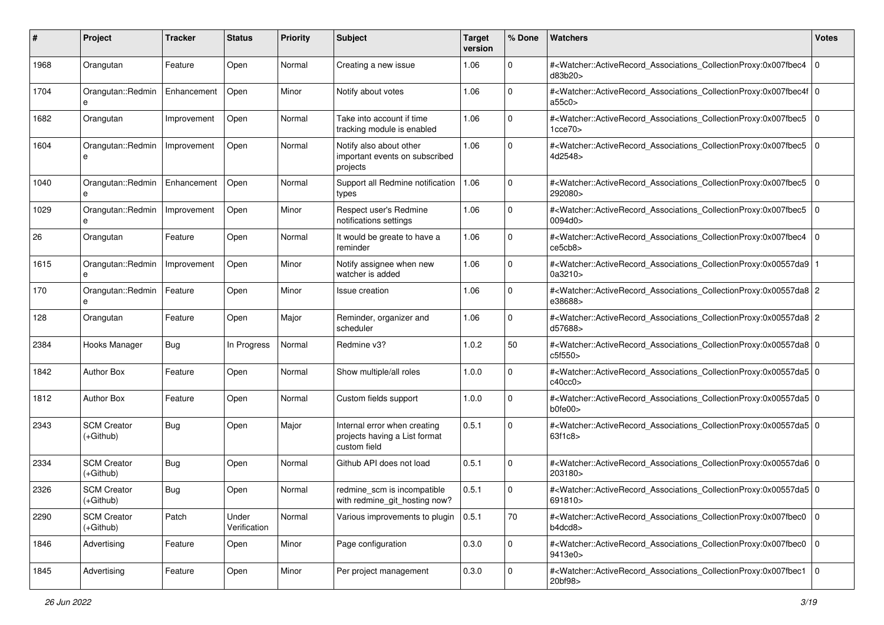| #    | Project                         | <b>Tracker</b> | <b>Status</b>         | <b>Priority</b> | <b>Subject</b>                                                                | <b>Target</b><br>version | % Done      | <b>Watchers</b>                                                                                                                                           | <b>Votes</b> |
|------|---------------------------------|----------------|-----------------------|-----------------|-------------------------------------------------------------------------------|--------------------------|-------------|-----------------------------------------------------------------------------------------------------------------------------------------------------------|--------------|
| 1968 | Orangutan                       | Feature        | Open                  | Normal          | Creating a new issue                                                          | 1.06                     | 0           | # <watcher::activerecord_associations_collectionproxy:0x007fbec4<br>d83b20&gt;</watcher::activerecord_associations_collectionproxy:0x007fbec4<br>         | $\mathbf 0$  |
| 1704 | Orangutan::Redmin               | Enhancement    | Open                  | Minor           | Notify about votes                                                            | 1.06                     | 0           | # <watcher::activerecord_associations_collectionproxy:0x007fbec4f 0<br=""  ="">a55c0&gt;</watcher::activerecord_associations_collectionproxy:0x007fbec4f> |              |
| 1682 | Orangutan                       | Improvement    | Open                  | Normal          | Take into account if time<br>tracking module is enabled                       | 1.06                     | $\Omega$    | # <watcher::activerecord_associations_collectionproxy:0x007fbec5  <br="">1cce70&gt;</watcher::activerecord_associations_collectionproxy:0x007fbec5>       | l O          |
| 1604 | Orangutan::Redmin<br>e          | Improvement    | Open                  | Normal          | Notify also about other<br>important events on subscribed<br>projects         | 1.06                     | $\mathbf 0$ | # <watcher::activerecord_associations_collectionproxy:0x007fbec5<br>4d2548&gt;</watcher::activerecord_associations_collectionproxy:0x007fbec5<br>         | $\Omega$     |
| 1040 | Orangutan::Redmin<br>e          | Enhancement    | Open                  | Normal          | Support all Redmine notification<br>types                                     | 1.06                     | 0           | # <watcher::activerecord_associations_collectionproxy:0x007fbec5<br>292080&gt;</watcher::activerecord_associations_collectionproxy:0x007fbec5<br>         | $\mathbf 0$  |
| 1029 | Orangutan::Redmin<br>e          | Improvement    | Open                  | Minor           | Respect user's Redmine<br>notifications settings                              | 1.06                     | $\mathbf 0$ | # <watcher::activerecord_associations_collectionproxy:0x007fbec5<br>0094d0&gt;</watcher::activerecord_associations_collectionproxy:0x007fbec5<br>         | $\mathbf 0$  |
| 26   | Orangutan                       | Feature        | Open                  | Normal          | It would be greate to have a<br>reminder                                      | 1.06                     | $\Omega$    | # <watcher::activerecord_associations_collectionproxy:0x007fbec4<br>ce5cb8&gt;</watcher::activerecord_associations_collectionproxy:0x007fbec4<br>         | $\mathbf 0$  |
| 1615 | Orangutan::Redmin               | Improvement    | Open                  | Minor           | Notify assignee when new<br>watcher is added                                  | 1.06                     | $\mathbf 0$ | # <watcher::activerecord_associations_collectionproxy:0x00557da9<br>0a3210&gt;</watcher::activerecord_associations_collectionproxy:0x00557da9<br>         |              |
| 170  | Orangutan::Redmin<br>e          | Feature        | Open                  | Minor           | Issue creation                                                                | 1.06                     | 0           | # <watcher::activerecord_associations_collectionproxy:0x00557da8 2<br="">e38688&gt;</watcher::activerecord_associations_collectionproxy:0x00557da8>       |              |
| 128  | Orangutan                       | Feature        | Open                  | Major           | Reminder, organizer and<br>scheduler                                          | 1.06                     | $\mathbf 0$ | # <watcher::activerecord_associations_collectionproxy:0x00557da8 2<br="">d57688&gt;</watcher::activerecord_associations_collectionproxy:0x00557da8>       |              |
| 2384 | Hooks Manager                   | Bug            | In Progress           | Normal          | Redmine v3?                                                                   | 1.0.2                    | 50          | # <watcher::activerecord_associations_collectionproxy:0x00557da8 0<br=""  ="">c5f550&gt;</watcher::activerecord_associations_collectionproxy:0x00557da8>  |              |
| 1842 | <b>Author Box</b>               | Feature        | Open                  | Normal          | Show multiple/all roles                                                       | 1.0.0                    | $\mathbf 0$ | # <watcher::activerecord_associations_collectionproxy:0x00557da5 0<br=""  ="">c40cc0</watcher::activerecord_associations_collectionproxy:0x00557da5>      |              |
| 1812 | <b>Author Box</b>               | Feature        | Open                  | Normal          | Custom fields support                                                         | 1.0.0                    | 0           | # <watcher::activerecord_associations_collectionproxy:0x00557da5 0<br="">b0fe00&gt;</watcher::activerecord_associations_collectionproxy:0x00557da5>       |              |
| 2343 | <b>SCM Creator</b><br>(+Github) | Bug            | Open                  | Major           | Internal error when creating<br>projects having a List format<br>custom field | 0.5.1                    | 0           | # <watcher::activerecord_associations_collectionproxy:0x00557da5 0<br=""  ="">63f1c8&gt;</watcher::activerecord_associations_collectionproxy:0x00557da5>  |              |
| 2334 | <b>SCM Creator</b><br>(+Github) | Bug            | Open                  | Normal          | Github API does not load                                                      | 0.5.1                    | 0           | # <watcher::activerecord_associations_collectionproxy:0x00557da6 0<br=""  ="">203180&gt;</watcher::activerecord_associations_collectionproxy:0x00557da6>  |              |
| 2326 | <b>SCM Creator</b><br>(+Github) | <b>Bug</b>     | Open                  | Normal          | redmine scm is incompatible<br>with redmine_git_hosting now?                  | 0.5.1                    | 0           | # <watcher::activerecord_associations_collectionproxy:0x00557da5 0<br=""  ="">691810&gt;</watcher::activerecord_associations_collectionproxy:0x00557da5>  |              |
| 2290 | <b>SCM Creator</b><br>(+Github) | Patch          | Under<br>Verification | Normal          | Various improvements to plugin                                                | 0.5.1                    | 70          | # <watcher::activerecord_associations_collectionproxy:0x007fbec0 0<br=""  ="">b4dcd8&gt;</watcher::activerecord_associations_collectionproxy:0x007fbec0>  |              |
| 1846 | Advertising                     | Feature        | Open                  | Minor           | Page configuration                                                            | 0.3.0                    | $\mathbf 0$ | # <watcher::activerecord_associations_collectionproxy:0x007fbec0 0<br="">9413e0&gt;</watcher::activerecord_associations_collectionproxy:0x007fbec0>       |              |
| 1845 | Advertising                     | Feature        | Open                  | Minor           | Per project management                                                        | 0.3.0                    | $\mathbf 0$ | # <watcher::activerecord_associations_collectionproxy:0x007fbec1 0<br="">20bf98&gt;</watcher::activerecord_associations_collectionproxy:0x007fbec1>       |              |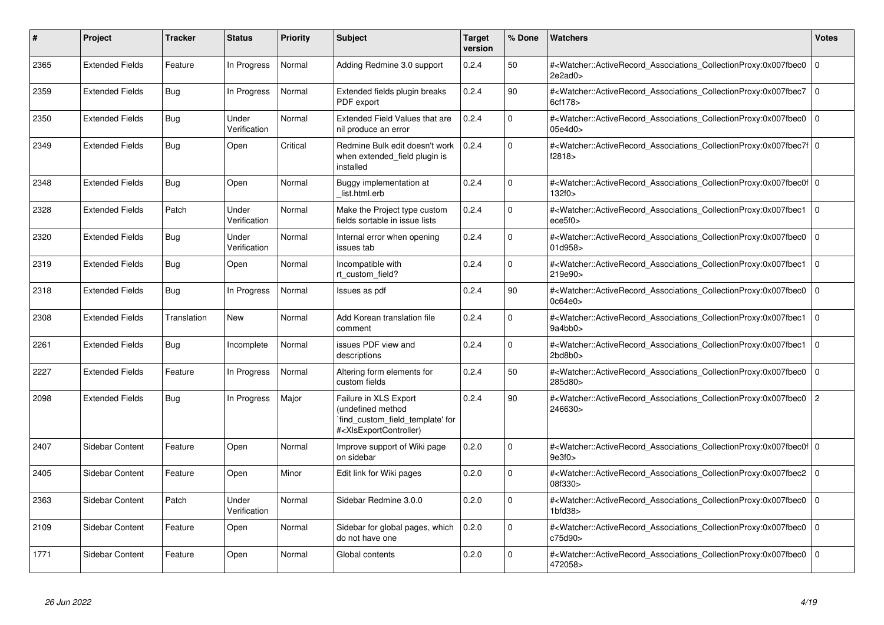| #    | <b>Project</b>         | <b>Tracker</b>     | <b>Status</b>         | Priority | <b>Subject</b>                                                                                                                                                                                                                                                                                                          | <b>Target</b><br>version | % Done      | <b>Watchers</b>                                                                                                                                               | <b>Votes</b>   |
|------|------------------------|--------------------|-----------------------|----------|-------------------------------------------------------------------------------------------------------------------------------------------------------------------------------------------------------------------------------------------------------------------------------------------------------------------------|--------------------------|-------------|---------------------------------------------------------------------------------------------------------------------------------------------------------------|----------------|
| 2365 | <b>Extended Fields</b> | Feature            | In Progress           | Normal   | Adding Redmine 3.0 support                                                                                                                                                                                                                                                                                              | 0.2.4                    | 50          | # <watcher::activerecord associations="" collectionproxy:0x007fbec0<br="">2e2ad0&gt;</watcher::activerecord>                                                  | $\mathbf 0$    |
| 2359 | <b>Extended Fields</b> | Bug                | In Progress           | Normal   | Extended fields plugin breaks<br>PDF export                                                                                                                                                                                                                                                                             | 0.2.4                    | 90          | # <watcher::activerecord_associations_collectionproxy:0x007fbec7<br>6cf178&gt;</watcher::activerecord_associations_collectionproxy:0x007fbec7<br>             | $\Omega$       |
| 2350 | <b>Extended Fields</b> | Bug                | Under<br>Verification | Normal   | <b>Extended Field Values that are</b><br>nil produce an error                                                                                                                                                                                                                                                           | 0.2.4                    | $\Omega$    | # <watcher::activerecord_associations_collectionproxy:0x007fbec0<br>05e4d0&gt;</watcher::activerecord_associations_collectionproxy:0x007fbec0<br>             | $\Omega$       |
| 2349 | <b>Extended Fields</b> | <b>Bug</b>         | Open                  | Critical | Redmine Bulk edit doesn't work<br>when extended field plugin is<br>installed                                                                                                                                                                                                                                            | 0.2.4                    | $\Omega$    | # <watcher::activerecord 0<br="" associations="" collectionproxy:0x007fbec7f=""  ="">f2818&gt;</watcher::activerecord>                                        |                |
| 2348 | <b>Extended Fields</b> | Bug                | Open                  | Normal   | Buggy implementation at<br>list.html.erb                                                                                                                                                                                                                                                                                | 0.2.4                    | $\Omega$    | # <watcher::activerecord 0<br="" associations="" collectionproxy:0x007fbec0f=""  ="">132f0&gt;</watcher::activerecord>                                        |                |
| 2328 | <b>Extended Fields</b> | Patch              | Under<br>Verification | Normal   | Make the Project type custom<br>fields sortable in issue lists                                                                                                                                                                                                                                                          | 0.2.4                    | $\Omega$    | # <watcher::activerecord_associations_collectionproxy:0x007fbec1<br>ece5f0&gt;</watcher::activerecord_associations_collectionproxy:0x007fbec1<br>             | $\Omega$       |
| 2320 | <b>Extended Fields</b> | Bug                | Under<br>Verification | Normal   | Internal error when opening<br>issues tab                                                                                                                                                                                                                                                                               | 0.2.4                    | $\Omega$    | # <watcher::activerecord associations="" collectionproxy:0x007fbec0<br="">01d958&gt;</watcher::activerecord>                                                  | $\Omega$       |
| 2319 | <b>Extended Fields</b> | Bug                | Open                  | Normal   | Incompatible with<br>rt_custom_field?                                                                                                                                                                                                                                                                                   | 0.2.4                    | $\Omega$    | # <watcher::activerecord_associations_collectionproxy:0x007fbec1<br>219e90&gt;</watcher::activerecord_associations_collectionproxy:0x007fbec1<br>             | $\Omega$       |
| 2318 | <b>Extended Fields</b> | <b>Bug</b>         | In Progress           | Normal   | Issues as pdf                                                                                                                                                                                                                                                                                                           | 0.2.4                    | 90          | # <watcher::activerecord_associations_collectionproxy:0x007fbec0<br>0c64e0</watcher::activerecord_associations_collectionproxy:0x007fbec0<br>                 | $\Omega$       |
| 2308 | <b>Extended Fields</b> | <b>Translation</b> | <b>New</b>            | Normal   | Add Korean translation file<br>comment                                                                                                                                                                                                                                                                                  | 0.2.4                    | $\Omega$    | # <watcher::activerecord associations="" collectionproxy:0x007fbec1<br="">9a4bb0</watcher::activerecord>                                                      | $\Omega$       |
| 2261 | <b>Extended Fields</b> | Bug                | Incomplete            | Normal   | issues PDF view and<br>descriptions                                                                                                                                                                                                                                                                                     | 0.2.4                    | $\mathbf 0$ | # <watcher::activerecord_associations_collectionproxy:0x007fbec1<br>2bd8b0<sub>&gt;</sub></watcher::activerecord_associations_collectionproxy:0x007fbec1<br>  | $\mathbf 0$    |
| 2227 | <b>Extended Fields</b> | Feature            | In Progress           | Normal   | Altering form elements for<br>custom fields                                                                                                                                                                                                                                                                             | 0.2.4                    | 50          | # <watcher::activerecord associations="" collectionproxy:0x007fbec0<br="">285d80&gt;</watcher::activerecord>                                                  | $\mathbf 0$    |
| 2098 | <b>Extended Fields</b> | Bug                | In Progress           | Major    | Failure in XLS Export<br>(undefined method<br>find custom field template' for<br># <xlsexportcontroller)< td=""><td>0.2.4</td><td>90</td><td>#<watcher::activerecord associations="" collectionproxy:0x007fbec0<br="">246630&gt;</watcher::activerecord></td><td><math>\overline{c}</math></td></xlsexportcontroller)<> | 0.2.4                    | 90          | # <watcher::activerecord associations="" collectionproxy:0x007fbec0<br="">246630&gt;</watcher::activerecord>                                                  | $\overline{c}$ |
| 2407 | Sidebar Content        | Feature            | Open                  | Normal   | Improve support of Wiki page<br>on sidebar                                                                                                                                                                                                                                                                              | 0.2.0                    | $\Omega$    | # <watcher::activerecord 0<br="" associations="" collectionproxy:0x007fbec0f=""  ="">9e3f0</watcher::activerecord>                                            |                |
| 2405 | Sidebar Content        | Feature            | Open                  | Minor    | Edit link for Wiki pages                                                                                                                                                                                                                                                                                                | 0.2.0                    | $\Omega$    | # <watcher::activerecord associations="" collectionproxy:0x007fbec2<br="">08f330&gt;</watcher::activerecord>                                                  | $\mathbf 0$    |
| 2363 | Sidebar Content        | Patch              | Under<br>Verification | Normal   | Sidebar Redmine 3.0.0                                                                                                                                                                                                                                                                                                   | 0.2.0                    | $\Omega$    | # <watcher::activerecord_associations_collectionproxy:0x007fbec0<br><math>1b f d 38</math></watcher::activerecord_associations_collectionproxy:0x007fbec0<br> | $\Omega$       |
| 2109 | Sidebar Content        | Feature            | Open                  | Normal   | Sidebar for global pages, which<br>do not have one                                                                                                                                                                                                                                                                      | 0.2.0                    | $\Omega$    | # <watcher::activerecord_associations_collectionproxy:0x007fbec0<br>c75d90&gt;</watcher::activerecord_associations_collectionproxy:0x007fbec0<br>             | $\Omega$       |
| 1771 | Sidebar Content        | Feature            | Open                  | Normal   | Global contents                                                                                                                                                                                                                                                                                                         | 0.2.0                    | $\Omega$    | # <watcher::activerecord associations="" collectionproxy:0x007fbec0<br="">472058&gt;</watcher::activerecord>                                                  | $\Omega$       |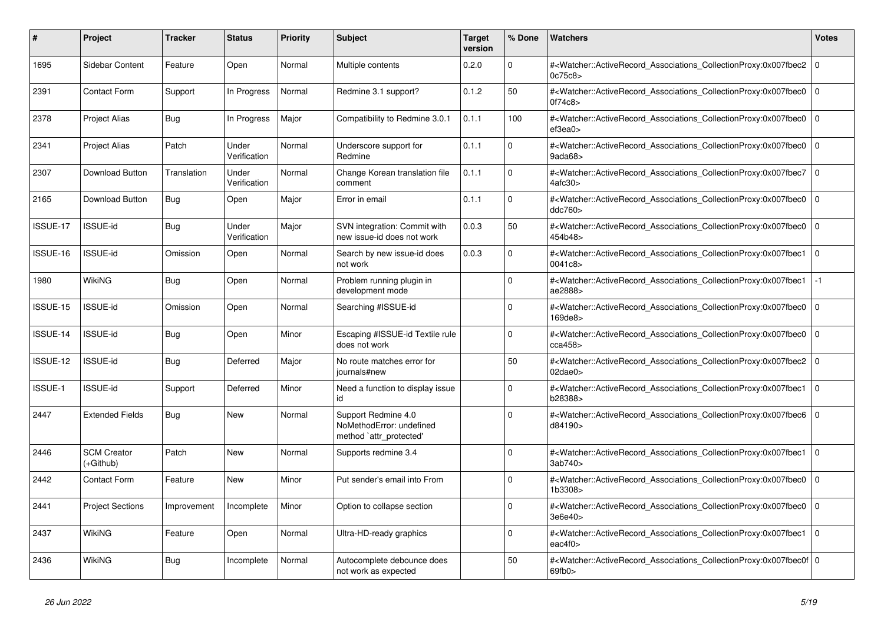| #               | <b>Project</b>                  | Tracker     | <b>Status</b>         | <b>Priority</b> | <b>Subject</b>                                                             | <b>Target</b><br>version | % Done   | <b>Watchers</b>                                                                                                                                            | <b>Votes</b> |
|-----------------|---------------------------------|-------------|-----------------------|-----------------|----------------------------------------------------------------------------|--------------------------|----------|------------------------------------------------------------------------------------------------------------------------------------------------------------|--------------|
| 1695            | Sidebar Content                 | Feature     | Open                  | Normal          | Multiple contents                                                          | 0.2.0                    | $\Omega$ | # <watcher::activerecord_associations_collectionproxy:0x007fbec2  <br="">0c75c8&gt;</watcher::activerecord_associations_collectionproxy:0x007fbec2>        | $\mathbf 0$  |
| 2391            | <b>Contact Form</b>             | Support     | In Progress           | Normal          | Redmine 3.1 support?                                                       | 0.1.2                    | 50       | # <watcher::activerecord associations="" collectionproxy:0x007fbec0<br="">0f74c8</watcher::activerecord>                                                   | $\Omega$     |
| 2378            | <b>Project Alias</b>            | <b>Bug</b>  | In Progress           | Major           | Compatibility to Redmine 3.0.1                                             | 0.1.1                    | 100      | # <watcher::activerecord_associations_collectionproxy:0x007fbec0 0<br="">ef3ea0&gt;</watcher::activerecord_associations_collectionproxy:0x007fbec0>        |              |
| 2341            | <b>Project Alias</b>            | Patch       | Under<br>Verification | Normal          | Underscore support for<br>Redmine                                          | 0.1.1                    | $\Omega$ | # <watcher::activerecord_associations_collectionproxy:0x007fbec0<br>9ada68</watcher::activerecord_associations_collectionproxy:0x007fbec0<br>              | $\mathbf 0$  |
| 2307            | Download Button                 | Translation | Under<br>Verification | Normal          | Change Korean translation file<br>comment                                  | 0.1.1                    | $\Omega$ | # <watcher::activerecord_associations_collectionproxy:0x007fbec7<br>4afc30&gt;</watcher::activerecord_associations_collectionproxy:0x007fbec7<br>          | $\Omega$     |
| 2165            | Download Button                 | <b>Bug</b>  | Open                  | Major           | Error in email                                                             | 0.1.1                    | $\Omega$ | # <watcher::activerecord 0<br="" associations="" collectionproxy:0x007fbec0=""  ="">ddc760&gt;</watcher::activerecord>                                     |              |
| ISSUE-17        | <b>ISSUE-id</b>                 | Bug         | Under<br>Verification | Major           | SVN integration: Commit with<br>new issue-id does not work                 | 0.0.3                    | 50       | # <watcher::activerecord associations="" collectionproxy:0x007fbec0<br="">454b48&gt;</watcher::activerecord>                                               | $\mathbf 0$  |
| ISSUE-16        | <b>ISSUE-id</b>                 | Omission    | Open                  | Normal          | Search by new issue-id does<br>not work                                    | 0.0.3                    | $\Omega$ | # <watcher::activerecord_associations_collectionproxy:0x007fbec1<br>0041c8&gt;</watcher::activerecord_associations_collectionproxy:0x007fbec1<br>          | $\Omega$     |
| 1980            | <b>WikiNG</b>                   | Bug         | Open                  | Normal          | Problem running plugin in<br>development mode                              |                          | $\Omega$ | # <watcher::activerecord_associations_collectionproxy:0x007fbec1<br>ae2888&gt;</watcher::activerecord_associations_collectionproxy:0x007fbec1<br>          | $-1$         |
| ISSUE-15        | <b>ISSUE-id</b>                 | Omission    | Open                  | Normal          | Searching #ISSUE-id                                                        |                          | $\Omega$ | # <watcher::activerecord associations="" collectionproxy:0x007fbec0<br="">169de8&gt;</watcher::activerecord>                                               | $\mathbf 0$  |
| <b>ISSUE-14</b> | <b>ISSUE-id</b>                 | Bug         | Open                  | Minor           | Escaping #ISSUE-id Textile rule<br>does not work                           |                          | $\Omega$ | # <watcher::activerecord_associations_collectionproxy:0x007fbec0<br>cca458&gt;</watcher::activerecord_associations_collectionproxy:0x007fbec0<br>          | $\Omega$     |
| ISSUE-12        | <b>ISSUE-id</b>                 | Bug         | Deferred              | Major           | No route matches error for<br>journals#new                                 |                          | 50       | # <watcher::activerecord 0<br="" associations="" collectionproxy:0x007fbec2=""  =""><math>02</math>dae<math>0</math></watcher::activerecord>               |              |
| <b>ISSUE-1</b>  | <b>ISSUE-id</b>                 | Support     | Deferred              | Minor           | Need a function to display issue<br>id                                     |                          | $\Omega$ | # <watcher::activerecord associations="" collectionproxy:0x007fbec1<br="">b28388&gt;</watcher::activerecord>                                               | $\mathbf 0$  |
| 2447            | <b>Extended Fields</b>          | Bug         | <b>New</b>            | Normal          | Support Redmine 4.0<br>NoMethodError: undefined<br>method `attr_protected' |                          | $\Omega$ | # <watcher::activerecord_associations_collectionproxy:0x007fbec6 0<br=""  ="">d84190&gt;</watcher::activerecord_associations_collectionproxy:0x007fbec6>   |              |
| 2446            | <b>SCM Creator</b><br>(+Github) | Patch       | <b>New</b>            | Normal          | Supports redmine 3.4                                                       |                          | $\Omega$ | # <watcher::activerecord_associations_collectionproxy:0x007fbec1 0<br=""  ="">3ab740&gt;</watcher::activerecord_associations_collectionproxy:0x007fbec1>   |              |
| 2442            | <b>Contact Form</b>             | Feature     | <b>New</b>            | Minor           | Put sender's email into From                                               |                          | $\Omega$ | # <watcher::activerecord_associations_collectionproxy:0x007fbec0<br>1b3308&gt;</watcher::activerecord_associations_collectionproxy:0x007fbec0<br>          | $\Omega$     |
| 2441            | <b>Project Sections</b>         | Improvement | Incomplete            | Minor           | Option to collapse section                                                 |                          | $\Omega$ | # <watcher::activerecord associations="" collectionproxy:0x007fbec0<br="">3e6e40&gt;</watcher::activerecord>                                               | $\mathbf 0$  |
| 2437            | <b>WikiNG</b>                   | Feature     | Open                  | Normal          | Ultra-HD-ready graphics                                                    |                          | $\Omega$ | # <watcher::activerecord_associations_collectionproxy:0x007fbec1<br>eac<math>4f0</math></watcher::activerecord_associations_collectionproxy:0x007fbec1<br> | $\mathbf 0$  |
| 2436            | WikiNG                          | Bug         | Incomplete            | Normal          | Autocomplete debounce does<br>not work as expected                         |                          | 50       | # <watcher::activerecord_associations_collectionproxy:0x007fbec0f 0<br=""  ="">69fb0</watcher::activerecord_associations_collectionproxy:0x007fbec0f>      |              |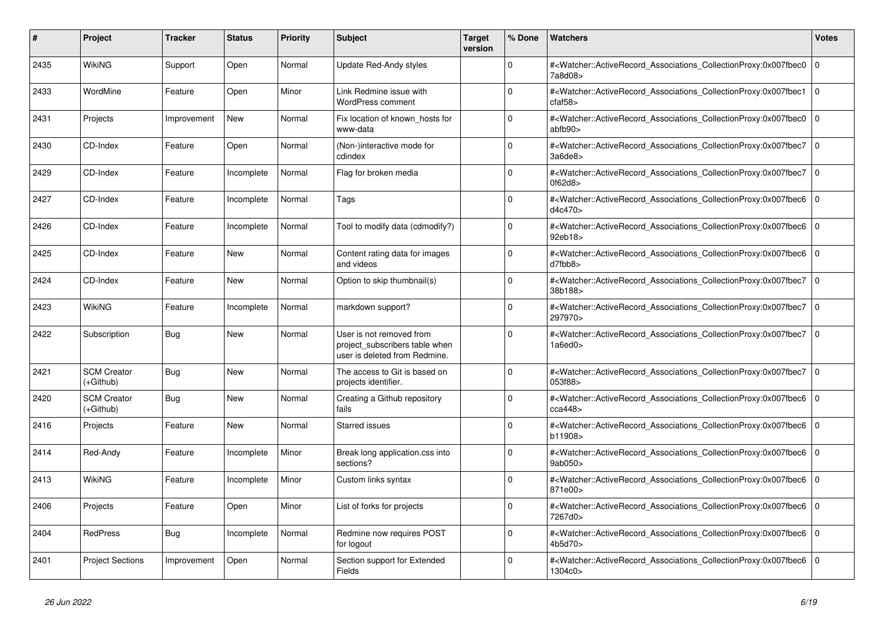| #    | Project                         | <b>Tracker</b> | <b>Status</b> | <b>Priority</b> | <b>Subject</b>                                                                              | <b>Target</b><br>version | % Done       | <b>Watchers</b>                                                                                                                                          | <b>Votes</b> |
|------|---------------------------------|----------------|---------------|-----------------|---------------------------------------------------------------------------------------------|--------------------------|--------------|----------------------------------------------------------------------------------------------------------------------------------------------------------|--------------|
| 2435 | <b>WikiNG</b>                   | Support        | Open          | Normal          | Update Red-Andy styles                                                                      |                          | $\Omega$     | # <watcher::activerecord_associations_collectionproxy:0x007fbec0<br>7a8d08&gt;</watcher::activerecord_associations_collectionproxy:0x007fbec0<br>        | $\mathbf 0$  |
| 2433 | WordMine                        | Feature        | Open          | Minor           | Link Redmine issue with<br><b>WordPress comment</b>                                         |                          | $\Omega$     | # <watcher::activerecord associations="" collectionproxy:0x007fbec1<br="">cfaf58</watcher::activerecord>                                                 | $\Omega$     |
| 2431 | Projects                        | Improvement    | New           | Normal          | Fix location of known hosts for<br>www-data                                                 |                          | $\Omega$     | # <watcher::activerecord_associations_collectionproxy:0x007fbec0 0<br="">abfb90</watcher::activerecord_associations_collectionproxy:0x007fbec0>          |              |
| 2430 | CD-Index                        | Feature        | Open          | Normal          | (Non-)interactive mode for<br>cdindex                                                       |                          | $\Omega$     | # <watcher::activerecord_associations_collectionproxy:0x007fbec7<br>3a6de8</watcher::activerecord_associations_collectionproxy:0x007fbec7<br>            | $\mathbf 0$  |
| 2429 | CD-Index                        | Feature        | Incomplete    | Normal          | Flag for broken media                                                                       |                          | $\Omega$     | # <watcher::activerecord associations="" collectionproxy:0x007fbec7<br="">0f62d8</watcher::activerecord>                                                 | $\Omega$     |
| 2427 | CD-Index                        | Feature        | Incomplete    | Normal          | Tags                                                                                        |                          | $\Omega$     | # <watcher::activerecord 0<br="" associations="" collectionproxy:0x007fbec6=""  ="">d4c470&gt;</watcher::activerecord>                                   |              |
| 2426 | CD-Index                        | Feature        | Incomplete    | Normal          | Tool to modify data (cdmodify?)                                                             |                          | $\Omega$     | # <watcher::activerecord associations="" collectionproxy:0x007fbec6<br="">92eb18&gt;</watcher::activerecord>                                             | $\mathbf 0$  |
| 2425 | CD-Index                        | Feature        | <b>New</b>    | Normal          | Content rating data for images<br>and videos                                                |                          | $\Omega$     | # <watcher::activerecord associations="" collectionproxy:0x007fbec6<br="">d7fbb8&gt;</watcher::activerecord>                                             | $\Omega$     |
| 2424 | CD-Index                        | Feature        | New           | Normal          | Option to skip thumbnail(s)                                                                 |                          | $\Omega$     | # <watcher::activerecord_associations_collectionproxy:0x007fbec7 0<br=""  ="">38b188&gt;</watcher::activerecord_associations_collectionproxy:0x007fbec7> |              |
| 2423 | <b>WikiNG</b>                   | Feature        | Incomplete    | Normal          | markdown support?                                                                           |                          | $\Omega$     | # <watcher::activerecord associations="" collectionproxy:0x007fbec7<br="">297970&gt;</watcher::activerecord>                                             | $\mathbf 0$  |
| 2422 | Subscription                    | <b>Bug</b>     | <b>New</b>    | Normal          | User is not removed from<br>project subscribers table when<br>user is deleted from Redmine. |                          | $\Omega$     | # <watcher::activerecord_associations_collectionproxy:0x007fbec7  <br="">1a6ed0</watcher::activerecord_associations_collectionproxy:0x007fbec7>          | $\Omega$     |
| 2421 | <b>SCM Creator</b><br>(+Github) | Bug            | <b>New</b>    | Normal          | The access to Git is based on<br>projects identifier.                                       |                          | $\mathbf 0$  | # <watcher::activerecord 0<br="" associations="" collectionproxy:0x007fbec7=""  ="">053f88&gt;</watcher::activerecord>                                   |              |
| 2420 | <b>SCM Creator</b><br>(+Github) | <b>Bug</b>     | <b>New</b>    | Normal          | Creating a Github repository<br>fails                                                       |                          | $\Omega$     | # <watcher::activerecord_associations_collectionproxy:0x007fbec6<br>cca448</watcher::activerecord_associations_collectionproxy:0x007fbec6<br>            | $\Omega$     |
| 2416 | Projects                        | Feature        | <b>New</b>    | Normal          | <b>Starred issues</b>                                                                       |                          | $\mathbf{0}$ | # <watcher::activerecord associations="" collectionproxy:0x007fbec6=""  <br="">b11908&gt;</watcher::activerecord>                                        | $\mathbf 0$  |
| 2414 | Red-Andy                        | Feature        | Incomplete    | Minor           | Break long application.css into<br>sections?                                                |                          | $\mathbf 0$  | # <watcher::activerecord associations="" collectionproxy:0x007fbec6<br="">9ab050&gt;</watcher::activerecord>                                             | $\mathbf 0$  |
| 2413 | <b>WikiNG</b>                   | Feature        | Incomplete    | Minor           | Custom links syntax                                                                         |                          | $\Omega$     | # <watcher::activerecord_associations_collectionproxy:0x007fbec6<br>871e00&gt;</watcher::activerecord_associations_collectionproxy:0x007fbec6<br>        | $\Omega$     |
| 2406 | Projects                        | Feature        | Open          | Minor           | List of forks for projects                                                                  |                          | $\Omega$     | # <watcher::activerecord associations="" collectionproxy:0x007fbec6=""  <br="">7267d0&gt;</watcher::activerecord>                                        | $\mathbf 0$  |
| 2404 | <b>RedPress</b>                 | <b>Bug</b>     | Incomplete    | Normal          | Redmine now requires POST<br>for logout                                                     |                          | $\mathbf 0$  | # <watcher::activerecord_associations_collectionproxy:0x007fbec6  <br="">4b5d70&gt;</watcher::activerecord_associations_collectionproxy:0x007fbec6>      | $\mathbf 0$  |
| 2401 | <b>Project Sections</b>         | Improvement    | Open          | Normal          | Section support for Extended<br>Fields                                                      |                          | $\Omega$     | # <watcher::activerecord_associations_collectionproxy:0x007fbec6<br>1304c0&gt;</watcher::activerecord_associations_collectionproxy:0x007fbec6<br>        | $\Omega$     |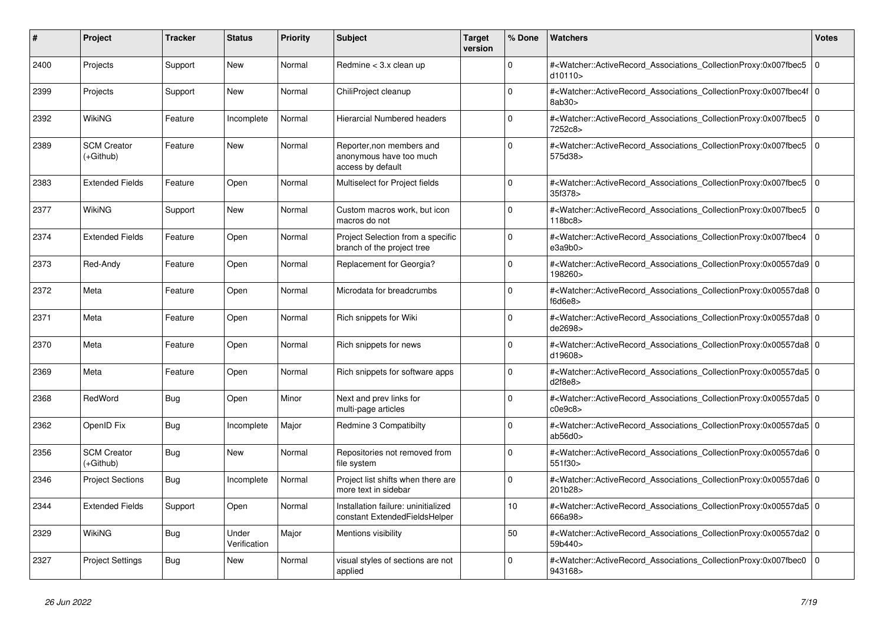| #    | <b>Project</b>                  | <b>Tracker</b> | <b>Status</b>         | <b>Priority</b> | <b>Subject</b>                                                            | <b>Target</b><br>version | % Done      | <b>Watchers</b>                                                                                                                                           | Votes          |
|------|---------------------------------|----------------|-----------------------|-----------------|---------------------------------------------------------------------------|--------------------------|-------------|-----------------------------------------------------------------------------------------------------------------------------------------------------------|----------------|
| 2400 | Projects                        | Support        | <b>New</b>            | Normal          | Redmine $<$ 3.x clean up                                                  |                          | $\Omega$    | # <watcher::activerecord_associations_collectionproxy:0x007fbec5<br>d10110&gt;</watcher::activerecord_associations_collectionproxy:0x007fbec5<br>         | 0              |
| 2399 | Projects                        | Support        | <b>New</b>            | Normal          | ChiliProject cleanup                                                      |                          | $\Omega$    | # <watcher::activerecord_associations_collectionproxy:0x007fbec4f 0<br=""  ="">8ab30&gt;</watcher::activerecord_associations_collectionproxy:0x007fbec4f> |                |
| 2392 | WikiNG                          | Feature        | Incomplete            | Normal          | Hierarcial Numbered headers                                               |                          | $\Omega$    | # <watcher::activerecord associations="" collectionproxy:0x007fbec5<br="">7252c8&gt;</watcher::activerecord>                                              | l O            |
| 2389 | <b>SCM Creator</b><br>(+Github) | Feature        | <b>New</b>            | Normal          | Reporter, non members and<br>anonymous have too much<br>access by default |                          | $\Omega$    | # <watcher::activerecord_associations_collectionproxy:0x007fbec5<br>575d38&gt;</watcher::activerecord_associations_collectionproxy:0x007fbec5<br>         | 0              |
| 2383 | <b>Extended Fields</b>          | Feature        | Open                  | Normal          | Multiselect for Project fields                                            |                          | $\Omega$    | # <watcher::activerecord associations="" collectionproxy:0x007fbec5<br="">35f378&gt;</watcher::activerecord>                                              | 0              |
| 2377 | WikiNG                          | Support        | New                   | Normal          | Custom macros work, but icon<br>macros do not                             |                          | $\Omega$    | # <watcher::activerecord_associations_collectionproxy:0x007fbec5<br>118bc8&gt;</watcher::activerecord_associations_collectionproxy:0x007fbec5<br>         | 0              |
| 2374 | <b>Extended Fields</b>          | Feature        | Open                  | Normal          | Project Selection from a specific<br>branch of the project tree           |                          | $\Omega$    | # <watcher::activerecord_associations_collectionproxy:0x007fbec4<br>e3a9b0&gt;</watcher::activerecord_associations_collectionproxy:0x007fbec4<br>         | $\overline{0}$ |
| 2373 | Red-Andy                        | Feature        | Open                  | Normal          | Replacement for Georgia?                                                  |                          | $\Omega$    | # <watcher::activerecord_associations_collectionproxy:0x00557da9 0<br=""  ="">198260&gt;</watcher::activerecord_associations_collectionproxy:0x00557da9>  |                |
| 2372 | Meta                            | Feature        | Open                  | Normal          | Microdata for breadcrumbs                                                 |                          | $\Omega$    | # <watcher::activerecord 0<br="" associations="" collectionproxy:0x00557da8=""  ="">f6d6e8</watcher::activerecord>                                        |                |
| 2371 | Meta                            | Feature        | Open                  | Normal          | Rich snippets for Wiki                                                    |                          | $\Omega$    | # <watcher::activerecord_associations_collectionproxy:0x00557da8 0<br="">de2698&gt;</watcher::activerecord_associations_collectionproxy:0x00557da8>       |                |
| 2370 | Meta                            | Feature        | Open                  | Normal          | Rich snippets for news                                                    |                          | $\Omega$    | # <watcher::activerecord 0<br="" associations="" collectionproxy:0x00557da8=""  ="">d19608&gt;</watcher::activerecord>                                    |                |
| 2369 | Meta                            | Feature        | Open                  | Normal          | Rich snippets for software apps                                           |                          | $\mathbf 0$ | # <watcher::activerecord 0<br="" associations="" collectionproxy:0x00557da5=""  ="">d2f8e8&gt;</watcher::activerecord>                                    |                |
| 2368 | RedWord                         | Bug            | Open                  | Minor           | Next and prev links for<br>multi-page articles                            |                          | $\Omega$    | # <watcher::activerecord_associations_collectionproxy:0x00557da5 0<br=""  ="">c0e9c8</watcher::activerecord_associations_collectionproxy:0x00557da5>      |                |
| 2362 | OpenID Fix                      | Bug            | Incomplete            | Major           | Redmine 3 Compatibilty                                                    |                          | $\Omega$    | # <watcher::activerecord 0<br="" associations="" collectionproxy:0x00557da5=""  ="">ab56d0</watcher::activerecord>                                        |                |
| 2356 | <b>SCM Creator</b><br>(+Github) | <b>Bug</b>     | New                   | Normal          | Repositories not removed from<br>file system                              |                          | $\mathbf 0$ | # <watcher::activerecord 0<br="" associations="" collectionproxy:0x00557da6=""  ="">551f30&gt;</watcher::activerecord>                                    |                |
| 2346 | <b>Project Sections</b>         | <b>Bug</b>     | Incomplete            | Normal          | Project list shifts when there are<br>more text in sidebar                |                          | $\Omega$    | # <watcher::activerecord_associations_collectionproxy:0x00557da6 0<br="">201b28&gt;</watcher::activerecord_associations_collectionproxy:0x00557da6>       |                |
| 2344 | <b>Extended Fields</b>          | Support        | Open                  | Normal          | Installation failure: uninitialized<br>constant ExtendedFieldsHelper      |                          | 10          | # <watcher::activerecord 0<br="" associations="" collectionproxy:0x00557da5=""  ="">666a98&gt;</watcher::activerecord>                                    |                |
| 2329 | WikiNG                          | Bug            | Under<br>Verification | Major           | Mentions visibility                                                       |                          | 50          | # <watcher::activerecord_associations_collectionproxy:0x00557da2 0<br=""  ="">59b440&gt;</watcher::activerecord_associations_collectionproxy:0x00557da2>  |                |
| 2327 | <b>Project Settings</b>         | <b>Bug</b>     | <b>New</b>            | Normal          | visual styles of sections are not<br>applied                              |                          | $\Omega$    | # <watcher::activerecord_associations_collectionproxy:0x007fbec0<br>943168&gt;</watcher::activerecord_associations_collectionproxy:0x007fbec0<br>         | $\overline{0}$ |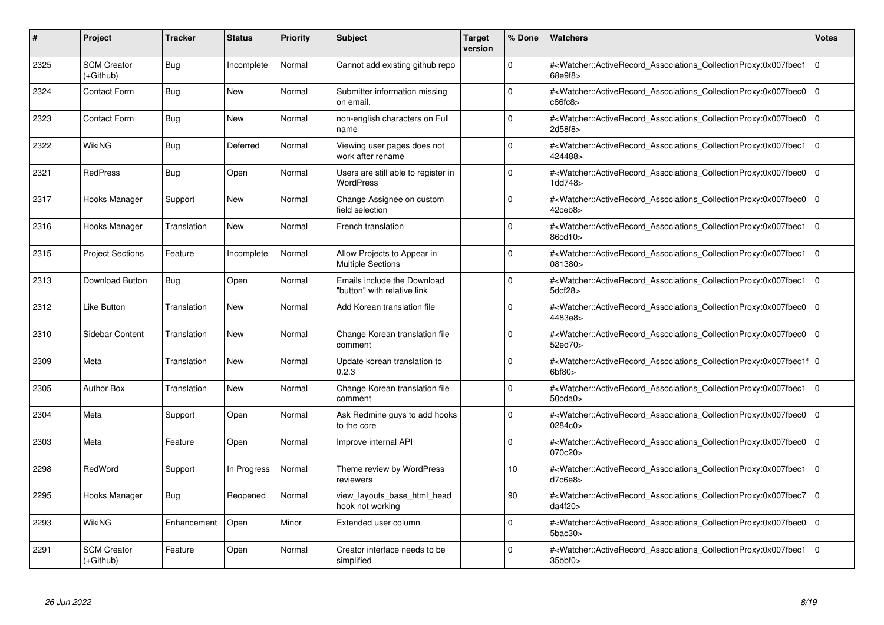| #    | Project                           | Tracker     | <b>Status</b> | <b>Priority</b> | <b>Subject</b>                                             | <b>Target</b><br>version | % Done          | <b>Watchers</b>                                                                                                                                                                    | <b>Votes</b> |
|------|-----------------------------------|-------------|---------------|-----------------|------------------------------------------------------------|--------------------------|-----------------|------------------------------------------------------------------------------------------------------------------------------------------------------------------------------------|--------------|
| 2325 | <b>SCM Creator</b><br>(+Github)   | <b>Bug</b>  | Incomplete    | Normal          | Cannot add existing github repo                            |                          | $\Omega$        | # <watcher::activerecord_associations_collectionproxy:0x007fbec1<br>68e9f8&gt;</watcher::activerecord_associations_collectionproxy:0x007fbec1<br>                                  | $\mathbf 0$  |
| 2324 | <b>Contact Form</b>               | <b>Bug</b>  | New           | Normal          | Submitter information missing<br>on email.                 |                          | $\Omega$        | # <watcher::activerecord 0<br="" associations="" collectionproxy:0x007fbec0=""  ="">c86fc8</watcher::activerecord>                                                                 |              |
| 2323 | <b>Contact Form</b>               | <b>Bug</b>  | <b>New</b>    | Normal          | non-english characters on Full<br>name                     |                          | $\Omega$        | # <watcher::activerecord_associations_collectionproxy:0x007fbec0<br>2d58f8&gt;</watcher::activerecord_associations_collectionproxy:0x007fbec0<br>                                  | $\mathbf 0$  |
| 2322 | WikiNG                            | <b>Bug</b>  | Deferred      | Normal          | Viewing user pages does not<br>work after rename           |                          | $\Omega$        | # <watcher::activerecord_associations_collectionproxy:0x007fbec1 0<br=""  ="">424488&gt;</watcher::activerecord_associations_collectionproxy:0x007fbec1>                           |              |
| 2321 | <b>RedPress</b>                   | Bug         | Open          | Normal          | Users are still able to register in<br><b>WordPress</b>    |                          | $\Omega$        | # <watcher::activerecord associations="" collectionproxy:0x007fbec0<br="">1dd748&gt;</watcher::activerecord>                                                                       | $\mathbf 0$  |
| 2317 | Hooks Manager                     | Support     | New           | Normal          | Change Assignee on custom<br>field selection               |                          | $\Omega$        | # <watcher::activerecord_associations_collectionproxy:0x007fbec0<br>42ceb8&gt;</watcher::activerecord_associations_collectionproxy:0x007fbec0<br>                                  | $\mathbf 0$  |
| 2316 | Hooks Manager                     | Translation | <b>New</b>    | Normal          | French translation                                         |                          | $\Omega$        | # <watcher::activerecord_associations_collectionproxy:0x007fbec1<br>86cd10&gt;</watcher::activerecord_associations_collectionproxy:0x007fbec1<br>                                  | $\Omega$     |
| 2315 | <b>Project Sections</b>           | Feature     | Incomplete    | Normal          | Allow Projects to Appear in<br><b>Multiple Sections</b>    |                          | $\Omega$        | # <watcher::activerecord associations="" collectionproxy:0x007fbec1<br="">081380&gt;</watcher::activerecord>                                                                       | $\mathbf 0$  |
| 2313 | Download Button                   | Bug         | Open          | Normal          | Emails include the Download<br>"button" with relative link |                          | $\Omega$        | # <watcher::activerecord_associations_collectionproxy:0x007fbec1<br>5dcf28&gt;</watcher::activerecord_associations_collectionproxy:0x007fbec1<br>                                  | $\mathbf 0$  |
| 2312 | <b>Like Button</b>                | Translation | <b>New</b>    | Normal          | Add Korean translation file                                |                          | $\Omega$        | # <watcher::activerecord_associations_collectionproxy:0x007fbec0<br>4483e8&gt;</watcher::activerecord_associations_collectionproxy:0x007fbec0<br>                                  | $\Omega$     |
| 2310 | Sidebar Content                   | Translation | New           | Normal          | Change Korean translation file<br>comment                  |                          | $\Omega$        | # <watcher::activerecord 0<br="" associations="" collectionproxy:0x007fbec0=""  ="">52ed70&gt;</watcher::activerecord>                                                             |              |
| 2309 | Meta                              | Translation | New           | Normal          | Update korean translation to<br>0.2.3                      |                          | $\Omega$        | # <watcher::activerecord_associations_collectionproxy:0x007fbec1f 0<br=""  ="">6bf80</watcher::activerecord_associations_collectionproxy:0x007fbec1f>                              |              |
| 2305 | <b>Author Box</b>                 | Translation | <b>New</b>    | Normal          | Change Korean translation file<br>comment                  |                          | $\Omega$        | # <watcher::activerecord_associations_collectionproxy:0x007fbec1<br>50cda0<sub>&gt;</sub></watcher::activerecord_associations_collectionproxy:0x007fbec1<br>                       | $\mathbf 0$  |
| 2304 | Meta                              | Support     | Open          | Normal          | Ask Redmine guys to add hooks<br>to the core               |                          | $\Omega$        | # <watcher::activerecord associations="" collectionproxy:0x007fbec0<br="">0284c0&gt;</watcher::activerecord>                                                                       | $\mathbf{0}$ |
| 2303 | Meta                              | Feature     | Open          | Normal          | Improve internal API                                       |                          | $\Omega$        | # <watcher::activerecord_associations_collectionproxy:0x007fbec0 0<br=""  ="">070c20&gt;</watcher::activerecord_associations_collectionproxy:0x007fbec0>                           |              |
| 2298 | RedWord                           | Support     | In Progress   | Normal          | Theme review by WordPress<br>reviewers                     |                          | 10 <sup>1</sup> | # <watcher::activerecord_associations_collectionproxy:0x007fbec1<br>d7c6e8</watcher::activerecord_associations_collectionproxy:0x007fbec1<br>                                      | $\Omega$     |
| 2295 | Hooks Manager                     | Bug         | Reopened      | Normal          | view layouts base html head<br>hook not working            |                          | 90              | # <watcher::activerecord associations="" collectionproxy:0x007fbec7<br="">da4f20&gt;</watcher::activerecord>                                                                       | $\mathbf 0$  |
| 2293 | WikiNG                            | Enhancement | Open          | Minor           | Extended user column                                       |                          | $\Omega$        | # <watcher::activerecord associations="" collectionproxy:0x007fbec0<br="">5bac30</watcher::activerecord>                                                                           | $\mathbf{0}$ |
| 2291 | <b>SCM Creator</b><br>$(+Github)$ | Feature     | Open          | Normal          | Creator interface needs to be<br>simplified                |                          | $\Omega$        | # <watcher::activerecord_associations_collectionproxy:0x007fbec1 0<br=""  =""><math>35</math>bbf0<math>&gt;</math></watcher::activerecord_associations_collectionproxy:0x007fbec1> |              |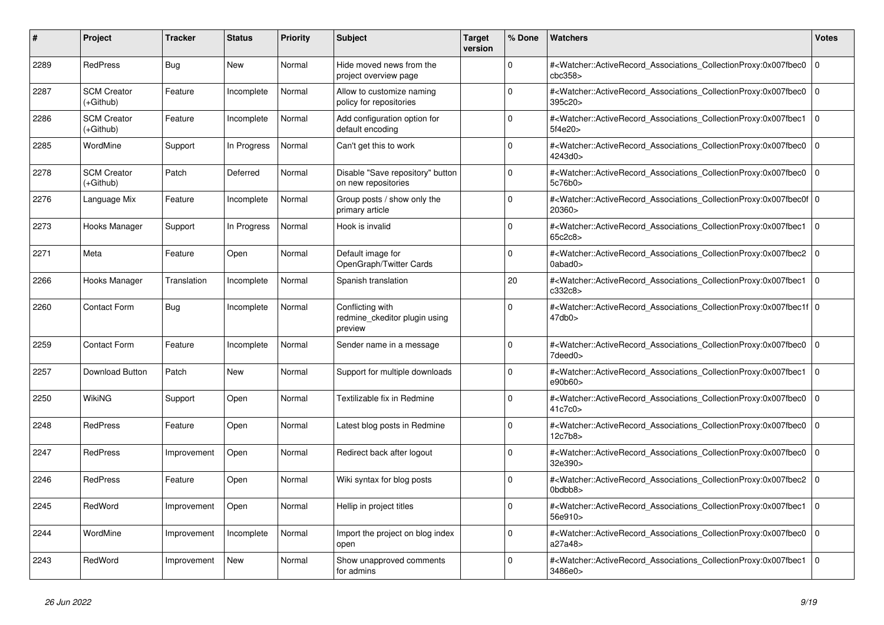| #    | <b>Project</b>                  | Tracker     | <b>Status</b> | <b>Priority</b> | <b>Subject</b>                                               | <b>Target</b><br>version | % Done   | <b>Watchers</b>                                                                                                                                                         | <b>Votes</b>   |
|------|---------------------------------|-------------|---------------|-----------------|--------------------------------------------------------------|--------------------------|----------|-------------------------------------------------------------------------------------------------------------------------------------------------------------------------|----------------|
| 2289 | <b>RedPress</b>                 | Bug         | <b>New</b>    | Normal          | Hide moved news from the<br>project overview page            |                          | $\Omega$ | # <watcher::activerecord associations="" collectionproxy:0x007fbec0<br="">cbc358<sub>&gt;</sub></watcher::activerecord>                                                 | $\mathbf 0$    |
| 2287 | <b>SCM Creator</b><br>(+Github) | Feature     | Incomplete    | Normal          | Allow to customize naming<br>policy for repositories         |                          | $\Omega$ | # <watcher::activerecord_associations_collectionproxy:0x007fbec0<br>395c20&gt;</watcher::activerecord_associations_collectionproxy:0x007fbec0<br>                       | $\mathbf{0}$   |
| 2286 | <b>SCM Creator</b><br>(+Github) | Feature     | Incomplete    | Normal          | Add configuration option for<br>default encoding             |                          | $\Omega$ | # <watcher::activerecord_associations_collectionproxy:0x007fbec1 0<br=""  ="">5f4e20&gt;</watcher::activerecord_associations_collectionproxy:0x007fbec1>                |                |
| 2285 | WordMine                        | Support     | In Progress   | Normal          | Can't get this to work                                       |                          | $\Omega$ | # <watcher::activerecord associations="" collectionproxy:0x007fbec0<br="">4243d0&gt;</watcher::activerecord>                                                            | $\Omega$       |
| 2278 | <b>SCM Creator</b><br>(+Github) | Patch       | Deferred      | Normal          | Disable "Save repository" button<br>on new repositories      |                          | $\Omega$ | # <watcher::activerecord_associations_collectionproxy:0x007fbec0<br>5c76b0&gt;</watcher::activerecord_associations_collectionproxy:0x007fbec0<br>                       | $\mathbf 0$    |
| 2276 | Language Mix                    | Feature     | Incomplete    | Normal          | Group posts / show only the<br>primary article               |                          | $\Omega$ | # <watcher::activerecord 0<br="" associations="" collectionproxy:0x007fbec0f=""  ="">20360&gt;</watcher::activerecord>                                                  |                |
| 2273 | Hooks Manager                   | Support     | In Progress   | Normal          | Hook is invalid                                              |                          | $\Omega$ | # <watcher::activerecord_associations_collectionproxy:0x007fbec1<br>65c2c8&gt;</watcher::activerecord_associations_collectionproxy:0x007fbec1<br>                       | $\overline{0}$ |
| 2271 | Meta                            | Feature     | Open          | Normal          | Default image for<br>OpenGraph/Twitter Cards                 |                          | $\Omega$ | # <watcher::activerecord_associations_collectionproxy:0x007fbec2<br>0abad0&gt;</watcher::activerecord_associations_collectionproxy:0x007fbec2<br>                       | $\mathbf 0$    |
| 2266 | Hooks Manager                   | Translation | Incomplete    | Normal          | Spanish translation                                          |                          | 20       | # <watcher::activerecord_associations_collectionproxy:0x007fbec1 0<br=""  ="">c332c8&gt;</watcher::activerecord_associations_collectionproxy:0x007fbec1>                |                |
| 2260 | Contact Form                    | Bug         | Incomplete    | Normal          | Conflicting with<br>redmine ckeditor plugin using<br>preview |                          | $\Omega$ | # <watcher::activerecord 0<br="" associations="" collectionproxy:0x007fbec1f=""  ="">47db0</watcher::activerecord>                                                      |                |
| 2259 | <b>Contact Form</b>             | Feature     | Incomplete    | Normal          | Sender name in a message                                     |                          | $\Omega$ | # <watcher::activerecord_associations_collectionproxy:0x007fbec0<br>7deed0&gt;</watcher::activerecord_associations_collectionproxy:0x007fbec0<br>                       | $\Omega$       |
| 2257 | Download Button                 | Patch       | New           | Normal          | Support for multiple downloads                               |                          | $\Omega$ | # <watcher::activerecord 0<br="" associations="" collectionproxy:0x007fbec1=""  ="">e90b60&gt;</watcher::activerecord>                                                  |                |
| 2250 | <b>WikiNG</b>                   | Support     | Open          | Normal          | Textilizable fix in Redmine                                  |                          | $\Omega$ | # <watcher::activerecord_associations_collectionproxy:0x007fbec0<br>41c7c0&gt;</watcher::activerecord_associations_collectionproxy:0x007fbec0<br>                       | $\mathbf 0$    |
| 2248 | <b>RedPress</b>                 | Feature     | Open          | Normal          | Latest blog posts in Redmine                                 |                          | $\Omega$ | # <watcher::activerecord_associations_collectionproxy:0x007fbec0<br>12c7b8&gt;</watcher::activerecord_associations_collectionproxy:0x007fbec0<br>                       | $\mathbf 0$    |
| 2247 | <b>RedPress</b>                 | Improvement | Open          | Normal          | Redirect back after logout                                   |                          | $\Omega$ | # <watcher::activerecord_associations_collectionproxy:0x007fbec0  <br="">32e390&gt;</watcher::activerecord_associations_collectionproxy:0x007fbec0>                     | $\mathbf 0$    |
| 2246 | <b>RedPress</b>                 | Feature     | Open          | Normal          | Wiki syntax for blog posts                                   |                          | $\Omega$ | # <watcher::activerecord_associations_collectionproxy:0x007fbec2<br><math>0</math>bdbb<math>8</math></watcher::activerecord_associations_collectionproxy:0x007fbec2<br> | $\Omega$       |
| 2245 | RedWord                         | Improvement | Open          | Normal          | Hellip in project titles                                     |                          | $\Omega$ | # <watcher::activerecord associations="" collectionproxy:0x007fbec1<br="">56e910&gt;</watcher::activerecord>                                                            | $\Omega$       |
| 2244 | WordMine                        | Improvement | Incomplete    | Normal          | Import the project on blog index<br>open                     |                          | $\Omega$ | # <watcher::activerecord_associations_collectionproxy:0x007fbec0<br>a27a48&gt;</watcher::activerecord_associations_collectionproxy:0x007fbec0<br>                       | $\mathbf 0$    |
| 2243 | RedWord                         | Improvement | <b>New</b>    | Normal          | Show unapproved comments<br>for admins                       |                          | $\Omega$ | # <watcher::activerecord_associations_collectionproxy:0x007fbec1<br>3486e0&gt;</watcher::activerecord_associations_collectionproxy:0x007fbec1<br>                       | $\Omega$       |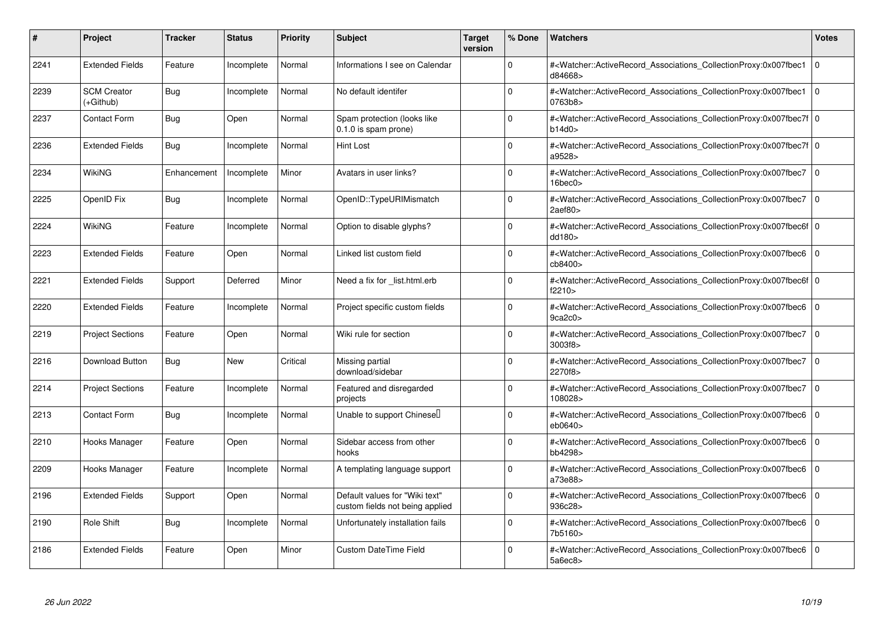| $\vert$ # | Project                         | <b>Tracker</b> | <b>Status</b> | <b>Priority</b> | <b>Subject</b>                                                    | <b>Target</b><br>version | % Done      | <b>Watchers</b>                                                                                                                                                                | <b>Votes</b> |
|-----------|---------------------------------|----------------|---------------|-----------------|-------------------------------------------------------------------|--------------------------|-------------|--------------------------------------------------------------------------------------------------------------------------------------------------------------------------------|--------------|
| 2241      | <b>Extended Fields</b>          | Feature        | Incomplete    | Normal          | Informations I see on Calendar                                    |                          | $\Omega$    | # <watcher::activerecord associations="" collectionproxy:0x007fbec1<br="">d84668&gt;</watcher::activerecord>                                                                   | $\mathbf 0$  |
| 2239      | <b>SCM Creator</b><br>(+Github) | <b>Bug</b>     | Incomplete    | Normal          | No default identifer                                              |                          | $\Omega$    | # <watcher::activerecord_associations_collectionproxy:0x007fbec1<br>0763b8&gt;</watcher::activerecord_associations_collectionproxy:0x007fbec1<br>                              | $\mathbf 0$  |
| 2237      | <b>Contact Form</b>             | <b>Bug</b>     | Open          | Normal          | Spam protection (looks like<br>0.1.0 is spam prone)               |                          | $\Omega$    | # <watcher::activerecord_associations_collectionproxy:0x007fbec7f 0<br="">b14d0</watcher::activerecord_associations_collectionproxy:0x007fbec7f>                               |              |
| 2236      | <b>Extended Fields</b>          | Bug            | Incomplete    | Normal          | Hint Lost                                                         |                          | $\Omega$    | # <watcher::activerecord 0<br="" associations="" collectionproxy:0x007fbec7f=""  ="">a9528&gt;</watcher::activerecord>                                                         |              |
| 2234      | <b>WikiNG</b>                   | Enhancement    | Incomplete    | Minor           | Avatars in user links?                                            |                          | $\Omega$    | # <watcher::activerecord_associations_collectionproxy:0x007fbec7 0<br=""  =""><math>16</math>bec<math>0</math></watcher::activerecord_associations_collectionproxy:0x007fbec7> |              |
| 2225      | OpenID Fix                      | Bug            | Incomplete    | Normal          | OpenID::TypeURIMismatch                                           |                          | $\Omega$    | # <watcher::activerecord associations="" collectionproxy:0x007fbec7=""  <br="">2aef80</watcher::activerecord>                                                                  | $\mathbf 0$  |
| 2224      | WikiNG                          | Feature        | Incomplete    | Normal          | Option to disable glyphs?                                         |                          | $\Omega$    | # <watcher::activerecord_associations_collectionproxy:0x007fbec6f 0<br=""  ="">dd180&gt;</watcher::activerecord_associations_collectionproxy:0x007fbec6f>                      |              |
| 2223      | <b>Extended Fields</b>          | Feature        | Open          | Normal          | Linked list custom field                                          |                          | $\Omega$    | # <watcher::activerecord associations="" collectionproxy:0x007fbec6=""  <br="">cb8400&gt;</watcher::activerecord>                                                              | $\mathbf 0$  |
| 2221      | <b>Extended Fields</b>          | Support        | Deferred      | Minor           | Need a fix for list.html.erb                                      |                          | $\Omega$    | # <watcher::activerecord_associations_collectionproxy:0x007fbec6f 0<br=""  ="">f2210</watcher::activerecord_associations_collectionproxy:0x007fbec6f>                          |              |
| 2220      | <b>Extended Fields</b>          | Feature        | Incomplete    | Normal          | Project specific custom fields                                    |                          | $\Omega$    | # <watcher::activerecord_associations_collectionproxy:0x007fbec6  <br="">9ca2c0</watcher::activerecord_associations_collectionproxy:0x007fbec6>                                | $\Omega$     |
| 2219      | <b>Project Sections</b>         | Feature        | Open          | Normal          | Wiki rule for section                                             |                          | $\Omega$    | # <watcher::activerecord 0<br="" associations="" collectionproxy:0x007fbec7=""  ="">3003f8&gt;</watcher::activerecord>                                                         |              |
| 2216      | Download Button                 | Bug            | <b>New</b>    | Critical        | Missing partial<br>download/sidebar                               |                          | $\Omega$    | # <watcher::activerecord associations="" collectionproxy:0x007fbec7=""  <br="">2270f8&gt;</watcher::activerecord>                                                              | $\Omega$     |
| 2214      | <b>Project Sections</b>         | Feature        | Incomplete    | Normal          | Featured and disregarded<br>projects                              |                          | $\Omega$    | # <watcher::activerecord associations="" collectionproxy:0x007fbec7<br="">108028&gt;</watcher::activerecord>                                                                   | $\mathbf 0$  |
| 2213      | <b>Contact Form</b>             | Bug            | Incomplete    | Normal          | Unable to support Chinesel                                        |                          | $\mathbf 0$ | # <watcher::activerecord_associations_collectionproxy:0x007fbec6<br>eb0640&gt;</watcher::activerecord_associations_collectionproxy:0x007fbec6<br>                              | $\mathbf 0$  |
| 2210      | Hooks Manager                   | Feature        | Open          | Normal          | Sidebar access from other<br>hooks                                |                          | $\Omega$    | # <watcher::activerecord_associations_collectionproxy:0x007fbec6  <br="">bb4298&gt;</watcher::activerecord_associations_collectionproxy:0x007fbec6>                            | $\mathbf 0$  |
| 2209      | Hooks Manager                   | Feature        | Incomplete    | Normal          | A templating language support                                     |                          | $\Omega$    | # <watcher::activerecord associations="" collectionproxy:0x007fbec6=""  <br="">a73e88&gt;</watcher::activerecord>                                                              | $\mathbf 0$  |
| 2196      | <b>Extended Fields</b>          | Support        | Open          | Normal          | Default values for "Wiki text"<br>custom fields not being applied |                          | $\Omega$    | # <watcher::activerecord associations="" collectionproxy:0x007fbec6<br="">936c28&gt;</watcher::activerecord>                                                                   | $\Omega$     |
| 2190      | <b>Role Shift</b>               | <b>Bug</b>     | Incomplete    | Normal          | Unfortunately installation fails                                  |                          | $\Omega$    | # <watcher::activerecord associations="" collectionproxy:0x007fbec6<br="">7b5160&gt;</watcher::activerecord>                                                                   | $\mathbf 0$  |
| 2186      | <b>Extended Fields</b>          | Feature        | Open          | Minor           | <b>Custom DateTime Field</b>                                      |                          | $\Omega$    | # <watcher::activerecord associations="" collectionproxy:0x007fbec6=""  <br="">5a6ec8&gt;</watcher::activerecord>                                                              | $\mathbf 0$  |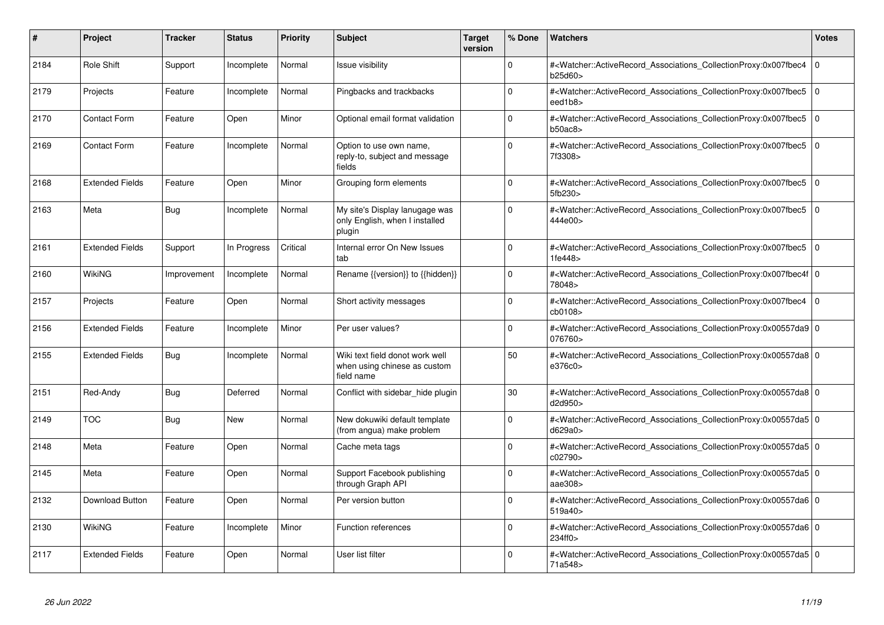| #    | Project                | <b>Tracker</b> | <b>Status</b> | <b>Priority</b> | <b>Subject</b>                                                                | <b>Target</b><br>version | % Done      | <b>Watchers</b>                                                                                                                                           | Votes          |
|------|------------------------|----------------|---------------|-----------------|-------------------------------------------------------------------------------|--------------------------|-------------|-----------------------------------------------------------------------------------------------------------------------------------------------------------|----------------|
| 2184 | <b>Role Shift</b>      | Support        | Incomplete    | Normal          | <b>Issue visibility</b>                                                       |                          | $\Omega$    | # <watcher::activerecord associations="" collectionproxy:0x007fbec4<br="">b25d60&gt;</watcher::activerecord>                                              | 0              |
| 2179 | Projects               | Feature        | Incomplete    | Normal          | Pingbacks and trackbacks                                                      |                          | $\Omega$    | # <watcher::activerecord associations="" collectionproxy:0x007fbec5<br="">eed1b8&gt;</watcher::activerecord>                                              | $\overline{0}$ |
| 2170 | <b>Contact Form</b>    | Feature        | Open          | Minor           | Optional email format validation                                              |                          | $\Omega$    | # <watcher::activerecord associations="" collectionproxy:0x007fbec5<br="">b50ac8</watcher::activerecord>                                                  | 0              |
| 2169 | <b>Contact Form</b>    | Feature        | Incomplete    | Normal          | Option to use own name,<br>reply-to, subject and message<br>fields            |                          | $\Omega$    | # <watcher::activerecord_associations_collectionproxy:0x007fbec5<br>7f3308&gt;</watcher::activerecord_associations_collectionproxy:0x007fbec5<br>         | $\overline{0}$ |
| 2168 | <b>Extended Fields</b> | Feature        | Open          | Minor           | Grouping form elements                                                        |                          | $\Omega$    | # <watcher::activerecord associations="" collectionproxy:0x007fbec5<br="">5fb230&gt;</watcher::activerecord>                                              | 0              |
| 2163 | Meta                   | <b>Bug</b>     | Incomplete    | Normal          | My site's Display lanugage was<br>only English, when I installed<br>plugin    |                          | $\Omega$    | # <watcher::activerecord associations="" collectionproxy:0x007fbec5<br="">444e00&gt;</watcher::activerecord>                                              | $\overline{0}$ |
| 2161 | <b>Extended Fields</b> | Support        | In Progress   | Critical        | Internal error On New Issues<br>tab                                           |                          | $\Omega$    | # <watcher::activerecord_associations_collectionproxy:0x007fbec5<br>1fe448</watcher::activerecord_associations_collectionproxy:0x007fbec5<br>             | 0              |
| 2160 | <b>WikiNG</b>          | Improvement    | Incomplete    | Normal          | Rename {{version}} to {{hidden}}                                              |                          | $\mathbf 0$ | # <watcher::activerecord_associations_collectionproxy:0x007fbec4f 0<br=""  ="">78048&gt;</watcher::activerecord_associations_collectionproxy:0x007fbec4f> |                |
| 2157 | Projects               | Feature        | Open          | Normal          | Short activity messages                                                       |                          | $\mathbf 0$ | # <watcher::activerecord associations="" collectionproxy:0x007fbec4<br="">cb0108&gt;</watcher::activerecord>                                              | $\overline{0}$ |
| 2156 | <b>Extended Fields</b> | Feature        | Incomplete    | Minor           | Per user values?                                                              |                          | $\Omega$    | # <watcher::activerecord 0<br="" associations="" collectionproxy:0x00557da9=""  ="">076760&gt;</watcher::activerecord>                                    |                |
| 2155 | <b>Extended Fields</b> | <b>Bug</b>     | Incomplete    | Normal          | Wiki text field donot work well<br>when using chinese as custom<br>field name |                          | 50          | # <watcher::activerecord 0<br="" associations="" collectionproxy:0x00557da8=""  ="">e376c0&gt;</watcher::activerecord>                                    |                |
| 2151 | Red-Andy               | Bug            | Deferred      | Normal          | Conflict with sidebar_hide plugin                                             |                          | 30          | # <watcher::activerecord_associations_collectionproxy:0x00557da8 0<br=""  ="">d2d950&gt;</watcher::activerecord_associations_collectionproxy:0x00557da8>  |                |
| 2149 | <b>TOC</b>             | Bug            | New           | Normal          | New dokuwiki default template<br>(from angua) make problem                    |                          | $\mathbf 0$ | # <watcher::activerecord_associations_collectionproxy:0x00557da5 0<br=""  ="">d629a0&gt;</watcher::activerecord_associations_collectionproxy:0x00557da5>  |                |
| 2148 | Meta                   | Feature        | Open          | Normal          | Cache meta tags                                                               |                          | 0           | # <watcher::activerecord 0<br="" associations="" collectionproxy:0x00557da5=""  ="">c02790</watcher::activerecord>                                        |                |
| 2145 | Meta                   | Feature        | Open          | Normal          | Support Facebook publishing<br>through Graph API                              |                          | $\Omega$    | # <watcher::activerecord 0<br="" associations="" collectionproxy:0x00557da5=""  ="">aae308&gt;</watcher::activerecord>                                    |                |
| 2132 | Download Button        | Feature        | Open          | Normal          | Per version button                                                            |                          | $\Omega$    | # <watcher::activerecord 0<br="" associations="" collectionproxy:0x00557da6=""  ="">519a40&gt;</watcher::activerecord>                                    |                |
| 2130 | WikiNG                 | Feature        | Incomplete    | Minor           | <b>Function references</b>                                                    |                          | $\Omega$    | # <watcher::activerecord_associations_collectionproxy:0x00557da6 0<br=""  ="">234ff0&gt;</watcher::activerecord_associations_collectionproxy:0x00557da6>  |                |
| 2117 | <b>Extended Fields</b> | Feature        | Open          | Normal          | User list filter                                                              |                          | $\Omega$    | # <watcher::activerecord_associations_collectionproxy:0x00557da5 0<br=""  ="">71a548&gt;</watcher::activerecord_associations_collectionproxy:0x00557da5>  |                |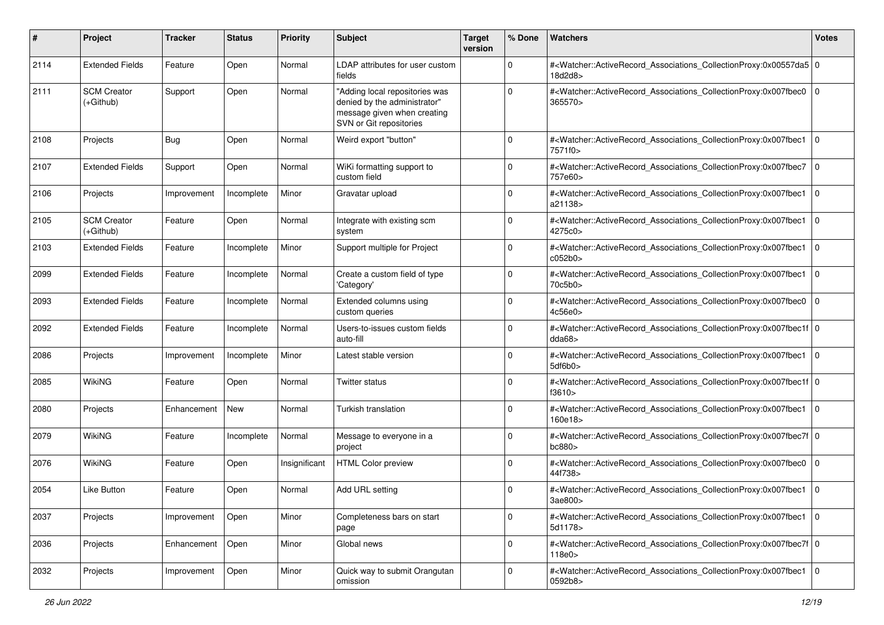| #    | Project                         | <b>Tracker</b> | <b>Status</b> | <b>Priority</b> | <b>Subject</b>                                                                                                           | <b>Target</b><br>version | % Done      | <b>Watchers</b>                                                                                                                                                 | <b>Votes</b>   |
|------|---------------------------------|----------------|---------------|-----------------|--------------------------------------------------------------------------------------------------------------------------|--------------------------|-------------|-----------------------------------------------------------------------------------------------------------------------------------------------------------------|----------------|
| 2114 | <b>Extended Fields</b>          | Feature        | Open          | Normal          | LDAP attributes for user custom<br>fields                                                                                |                          | $\mathbf 0$ | # <watcher::activerecord_associations_collectionproxy:0x00557da5 0<br="">18d2d8&gt;</watcher::activerecord_associations_collectionproxy:0x00557da5>             |                |
| 2111 | <b>SCM Creator</b><br>(+Github) | Support        | Open          | Normal          | "Adding local repositories was<br>denied by the administrator"<br>message given when creating<br>SVN or Git repositories |                          | $\Omega$    | # <watcher::activerecord_associations_collectionproxy:0x007fbec0<br>365570&gt;</watcher::activerecord_associations_collectionproxy:0x007fbec0<br>               | $\overline{0}$ |
| 2108 | Projects                        | Bug            | Open          | Normal          | Weird export "button"                                                                                                    |                          | 0           | # <watcher::activerecord_associations_collectionproxy:0x007fbec1<br>7571f0&gt;</watcher::activerecord_associations_collectionproxy:0x007fbec1<br>               | $\overline{0}$ |
| 2107 | <b>Extended Fields</b>          | Support        | Open          | Normal          | WiKi formatting support to<br>custom field                                                                               |                          | $\Omega$    | # <watcher::activerecord_associations_collectionproxy:0x007fbec7 0<br=""  ="">757e60&gt;</watcher::activerecord_associations_collectionproxy:0x007fbec7>        |                |
| 2106 | Projects                        | Improvement    | Incomplete    | Minor           | Gravatar upload                                                                                                          |                          | 0           | # <watcher::activerecord_associations_collectionproxy:0x007fbec1<br>a21138&gt;</watcher::activerecord_associations_collectionproxy:0x007fbec1<br>               | l o            |
| 2105 | <b>SCM Creator</b><br>(+Github) | Feature        | Open          | Normal          | Integrate with existing scm<br>system                                                                                    |                          | $\mathbf 0$ | # <watcher::activerecord_associations_collectionproxy:0x007fbec1<br>4275c0&gt;</watcher::activerecord_associations_collectionproxy:0x007fbec1<br>               | l o            |
| 2103 | <b>Extended Fields</b>          | Feature        | Incomplete    | Minor           | Support multiple for Project                                                                                             |                          | 0           | # <watcher::activerecord_associations_collectionproxy:0x007fbec1<br>c052b0</watcher::activerecord_associations_collectionproxy:0x007fbec1<br>                   | $\overline{0}$ |
| 2099 | <b>Extended Fields</b>          | Feature        | Incomplete    | Normal          | Create a custom field of type<br>'Category'                                                                              |                          | 0           | # <watcher::activerecord_associations_collectionproxy:0x007fbec1<br>70c5b0&gt;</watcher::activerecord_associations_collectionproxy:0x007fbec1<br>               | $\overline{0}$ |
| 2093 | <b>Extended Fields</b>          | Feature        | Incomplete    | Normal          | Extended columns using<br>custom queries                                                                                 |                          | 0           | # <watcher::activerecord_associations_collectionproxy:0x007fbec0 0<br="">4c56e0&gt;</watcher::activerecord_associations_collectionproxy:0x007fbec0>             |                |
| 2092 | <b>Extended Fields</b>          | Feature        | Incomplete    | Normal          | Users-to-issues custom fields<br>auto-fill                                                                               |                          | 0           | # <watcher::activerecord_associations_collectionproxy:0x007fbec1f 0<br=""  ="">dda68</watcher::activerecord_associations_collectionproxy:0x007fbec1f>           |                |
| 2086 | Projects                        | Improvement    | Incomplete    | Minor           | Latest stable version                                                                                                    |                          | 0           | # <watcher::activerecord_associations_collectionproxy:0x007fbec1<br>5df6b0</watcher::activerecord_associations_collectionproxy:0x007fbec1<br>                   | $\overline{0}$ |
| 2085 | <b>WikiNG</b>                   | Feature        | Open          | Normal          | <b>Twitter status</b>                                                                                                    |                          | 0           | # <watcher::activerecord_associations_collectionproxy:0x007fbec1f 0<br=""  ="">f3610 &gt;</watcher::activerecord_associations_collectionproxy:0x007fbec1f>      |                |
| 2080 | Projects                        | Enhancement    | <b>New</b>    | Normal          | Turkish translation                                                                                                      |                          | 0           | # <watcher::activerecord_associations_collectionproxy:0x007fbec1<br>160e18&gt;</watcher::activerecord_associations_collectionproxy:0x007fbec1<br>               | $\overline{0}$ |
| 2079 | WikiNG                          | Feature        | Incomplete    | Normal          | Message to everyone in a<br>project                                                                                      |                          | 0           | # <watcher::activerecord_associations_collectionproxy:0x007fbec7f 0<br="">bc880<sub>&gt;</sub></watcher::activerecord_associations_collectionproxy:0x007fbec7f> |                |
| 2076 | <b>WikiNG</b>                   | Feature        | Open          | Insignificant   | <b>HTML Color preview</b>                                                                                                |                          | 0           | # <watcher::activerecord_associations_collectionproxy:0x007fbec0 0<br="">44f738&gt;</watcher::activerecord_associations_collectionproxy:0x007fbec0>             |                |
| 2054 | Like Button                     | Feature        | Open          | Normal          | Add URL setting                                                                                                          |                          | 0           | # <watcher::activerecord_associations_collectionproxy:0x007fbec1 0<br=""  ="">3ae800&gt;</watcher::activerecord_associations_collectionproxy:0x007fbec1>        |                |
| 2037 | Projects                        | Improvement    | Open          | Minor           | Completeness bars on start<br>page                                                                                       |                          | 0           | # <watcher::activerecord_associations_collectionproxy:0x007fbec1 0<br=""  ="">5d1178&gt;</watcher::activerecord_associations_collectionproxy:0x007fbec1>        |                |
| 2036 | Projects                        | Enhancement    | Open          | Minor           | Global news                                                                                                              |                          | $\mathbf 0$ | # <watcher::activerecord 0<br="" associations="" collectionproxy:0x007fbec7f="">118e0</watcher::activerecord>                                                   |                |
| 2032 | Projects                        | Improvement    | Open          | Minor           | Quick way to submit Orangutan<br>omission                                                                                |                          | 0           | # <watcher::activerecord_associations_collectionproxy:0x007fbec1 0<br="">0592b8&gt;</watcher::activerecord_associations_collectionproxy:0x007fbec1>             |                |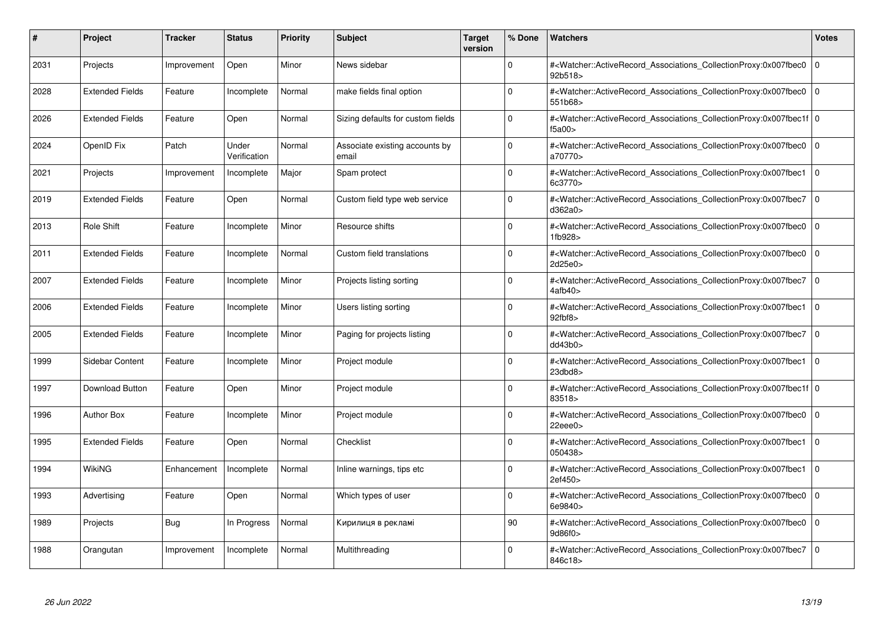| $\vert$ # | Project                | <b>Tracker</b> | <b>Status</b>         | <b>Priority</b> | <b>Subject</b>                          | <b>Target</b><br>version | % Done      | <b>Watchers</b>                                                                                                                                           | <b>Votes</b> |
|-----------|------------------------|----------------|-----------------------|-----------------|-----------------------------------------|--------------------------|-------------|-----------------------------------------------------------------------------------------------------------------------------------------------------------|--------------|
| 2031      | Projects               | Improvement    | Open                  | Minor           | News sidebar                            |                          | $\Omega$    | # <watcher::activerecord associations="" collectionproxy:0x007fbec0<br="">92b518&gt;</watcher::activerecord>                                              | $\mathbf 0$  |
| 2028      | <b>Extended Fields</b> | Feature        | Incomplete            | Normal          | make fields final option                |                          | $\Omega$    | # <watcher::activerecord_associations_collectionproxy:0x007fbec0  <br="">551b68&gt;</watcher::activerecord_associations_collectionproxy:0x007fbec0>       | $\mathbf 0$  |
| 2026      | <b>Extended Fields</b> | Feature        | Open                  | Normal          | Sizing defaults for custom fields       |                          | $\Omega$    | # <watcher::activerecord_associations_collectionproxy:0x007fbec1f 0<br=""  ="">f5a00&gt;</watcher::activerecord_associations_collectionproxy:0x007fbec1f> |              |
| 2024      | OpenID Fix             | Patch          | Under<br>Verification | Normal          | Associate existing accounts by<br>email |                          | $\Omega$    | # <watcher::activerecord associations="" collectionproxy:0x007fbec0<br="">a70770&gt;</watcher::activerecord>                                              | $\mathbf 0$  |
| 2021      | Projects               | Improvement    | Incomplete            | Major           | Spam protect                            |                          | $\Omega$    | # <watcher::activerecord associations="" collectionproxy:0x007fbec1<br="">6c3770&gt;</watcher::activerecord>                                              | $\Omega$     |
| 2019      | <b>Extended Fields</b> | Feature        | Open                  | Normal          | Custom field type web service           |                          | $\Omega$    | # <watcher::activerecord associations="" collectionproxy:0x007fbec7<br="">d362a0</watcher::activerecord>                                                  | $\mathbf 0$  |
| 2013      | Role Shift             | Feature        | Incomplete            | Minor           | Resource shifts                         |                          | $\Omega$    | # <watcher::activerecord_associations_collectionproxy:0x007fbec0<br>1fb928&gt;</watcher::activerecord_associations_collectionproxy:0x007fbec0<br>         | $\Omega$     |
| 2011      | <b>Extended Fields</b> | Feature        | Incomplete            | Normal          | Custom field translations               |                          | $\Omega$    | # <watcher::activerecord associations="" collectionproxy:0x007fbec0<br="">2d25e0&gt;</watcher::activerecord>                                              | $\mathbf 0$  |
| 2007      | <b>Extended Fields</b> | Feature        | Incomplete            | Minor           | Projects listing sorting                |                          | $\Omega$    | # <watcher::activerecord_associations_collectionproxy:0x007fbec7<br>4afb40&gt;</watcher::activerecord_associations_collectionproxy:0x007fbec7<br>         | $\mathbf 0$  |
| 2006      | <b>Extended Fields</b> | Feature        | Incomplete            | Minor           | Users listing sorting                   |                          | $\Omega$    | # <watcher::activerecord_associations_collectionproxy:0x007fbec1<br>92fbf8</watcher::activerecord_associations_collectionproxy:0x007fbec1<br>             | $\Omega$     |
| 2005      | <b>Extended Fields</b> | Feature        | Incomplete            | Minor           | Paging for projects listing             |                          | $\Omega$    | # <watcher::activerecord associations="" collectionproxy:0x007fbec7<br="">dd43b0</watcher::activerecord>                                                  | l O          |
| 1999      | Sidebar Content        | Feature        | Incomplete            | Minor           | Project module                          |                          | $\Omega$    | # <watcher::activerecord associations="" collectionproxy:0x007fbec1<br="">23dbd8</watcher::activerecord>                                                  | $\Omega$     |
| 1997      | <b>Download Button</b> | Feature        | Open                  | Minor           | Project module                          |                          | $\Omega$    | # <watcher::activerecord 0<br="" associations="" collectionproxy:0x007fbec1f=""  ="">83518&gt;</watcher::activerecord>                                    |              |
| 1996      | <b>Author Box</b>      | Feature        | Incomplete            | Minor           | Project module                          |                          | $\mathbf 0$ | # <watcher::activerecord_associations_collectionproxy:0x007fbec0<br>22eee0&gt;</watcher::activerecord_associations_collectionproxy:0x007fbec0<br>         | $\mathbf 0$  |
| 1995      | <b>Extended Fields</b> | Feature        | Open                  | Normal          | Checklist                               |                          | $\Omega$    | # <watcher::activerecord_associations_collectionproxy:0x007fbec1<br>050438&gt;</watcher::activerecord_associations_collectionproxy:0x007fbec1<br>         | $\mathbf 0$  |
| 1994      | WikiNG                 | Enhancement    | Incomplete            | Normal          | Inline warnings, tips etc               |                          | $\Omega$    | # <watcher::activerecord associations="" collectionproxy:0x007fbec1<br="">2ef450&gt;</watcher::activerecord>                                              | $\mathbf 0$  |
| 1993      | Advertising            | Feature        | Open                  | Normal          | Which types of user                     |                          | $\Omega$    | # <watcher::activerecord associations="" collectionproxy:0x007fbec0<br="">6e9840&gt;</watcher::activerecord>                                              | $\Omega$     |
| 1989      | Projects               | Bug            | In Progress           | Normal          | Кирилиця в рекламі                      |                          | 90          | # <watcher::activerecord associations="" collectionproxy:0x007fbec0<br="">9d86f0&gt;</watcher::activerecord>                                              | $\mathbf 0$  |
| 1988      | Orangutan              | Improvement    | Incomplete            | Normal          | Multithreading                          |                          | $\Omega$    | # <watcher::activerecord associations="" collectionproxy:0x007fbec7<br="">846c18&gt;</watcher::activerecord>                                              | $\mathbf 0$  |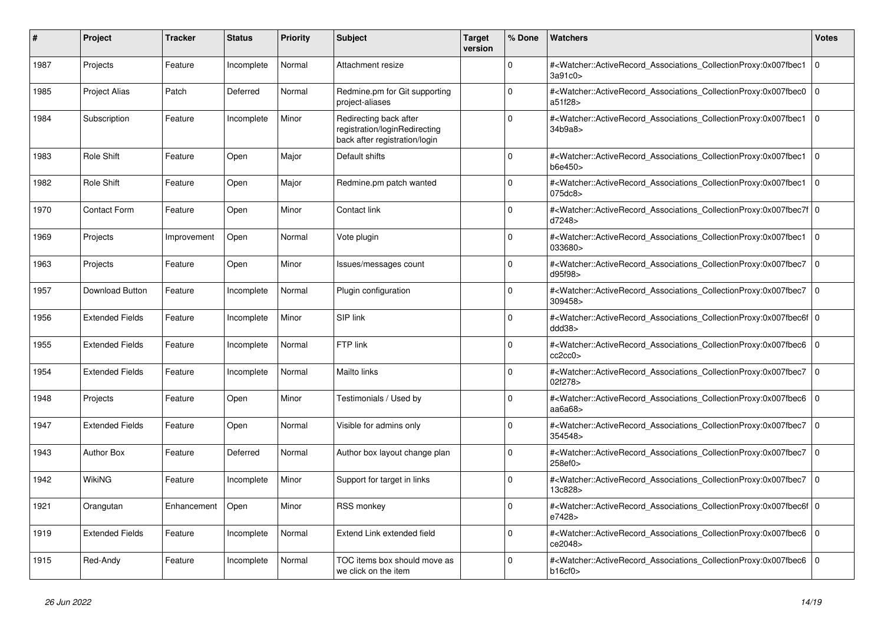| $\#$ | <b>Project</b>         | <b>Tracker</b> | <b>Status</b> | <b>Priority</b> | <b>Subject</b>                                                                           | <b>Target</b><br>version | % Done       | <b>Watchers</b>                                                                                                                                            | <b>Votes</b> |
|------|------------------------|----------------|---------------|-----------------|------------------------------------------------------------------------------------------|--------------------------|--------------|------------------------------------------------------------------------------------------------------------------------------------------------------------|--------------|
| 1987 | Projects               | Feature        | Incomplete    | Normal          | Attachment resize                                                                        |                          | $\Omega$     | # <watcher::activerecord associations="" collectionproxy:0x007fbec1<br="">3a91c0&gt;</watcher::activerecord>                                               | $\mathbf 0$  |
| 1985 | <b>Project Alias</b>   | Patch          | Deferred      | Normal          | Redmine.pm for Git supporting<br>project-aliases                                         |                          | $\Omega$     | # <watcher::activerecord_associations_collectionproxy:0x007fbec0<br>a51f28&gt;</watcher::activerecord_associations_collectionproxy:0x007fbec0<br>          | $\mathbf 0$  |
| 1984 | Subscription           | Feature        | Incomplete    | Minor           | Redirecting back after<br>registration/loginRedirecting<br>back after registration/login |                          | $\Omega$     | # <watcher::activerecord_associations_collectionproxy:0x007fbec1 0<br=""  ="">34b9a8</watcher::activerecord_associations_collectionproxy:0x007fbec1>       |              |
| 1983 | Role Shift             | Feature        | Open          | Major           | Default shifts                                                                           |                          | $\Omega$     | # <watcher::activerecord_associations_collectionproxy:0x007fbec1<br>b6e450&gt;</watcher::activerecord_associations_collectionproxy:0x007fbec1<br>          | $\mathbf 0$  |
| 1982 | <b>Role Shift</b>      | Feature        | Open          | Major           | Redmine.pm patch wanted                                                                  |                          | $\Omega$     | # <watcher::activerecord associations="" collectionproxy:0x007fbec1<br="">075dc8&gt;</watcher::activerecord>                                               | $\mathbf 0$  |
| 1970 | <b>Contact Form</b>    | Feature        | Open          | Minor           | Contact link                                                                             |                          | $\Omega$     | # <watcher::activerecord 0<br="" associations="" collectionproxy:0x007fbec7f=""  ="">d7248&gt;</watcher::activerecord>                                     |              |
| 1969 | Projects               | Improvement    | Open          | Normal          | Vote plugin                                                                              |                          | $\Omega$     | # <watcher::activerecord associations="" collectionproxy:0x007fbec1<br="">033680&gt;</watcher::activerecord>                                               | l 0          |
| 1963 | Projects               | Feature        | Open          | Minor           | Issues/messages count                                                                    |                          | $\Omega$     | # <watcher::activerecord associations="" collectionproxy:0x007fbec7<br="">d95f98&gt;</watcher::activerecord>                                               | $\mathbf 0$  |
| 1957 | Download Button        | Feature        | Incomplete    | Normal          | Plugin configuration                                                                     |                          | $\Omega$     | # <watcher::activerecord_associations_collectionproxy:0x007fbec7  <br="">309458&gt;</watcher::activerecord_associations_collectionproxy:0x007fbec7>        | $\Omega$     |
| 1956 | <b>Extended Fields</b> | Feature        | Incomplete    | Minor           | SIP link                                                                                 |                          | $\Omega$     | # <watcher::activerecord_associations_collectionproxy:0x007fbec6f 0<br=""  ="">ddd38</watcher::activerecord_associations_collectionproxy:0x007fbec6f>      |              |
| 1955 | <b>Extended Fields</b> | Feature        | Incomplete    | Normal          | FTP link                                                                                 |                          | $\Omega$     | # <watcher::activerecord associations="" collectionproxy:0x007fbec6<br="">cc2cc0</watcher::activerecord>                                                   | $\mathbf 0$  |
| 1954 | <b>Extended Fields</b> | Feature        | Incomplete    | Normal          | Mailto links                                                                             |                          | $\Omega$     | # <watcher::activerecord associations="" collectionproxy:0x007fbec7<br="">02f278&gt;</watcher::activerecord>                                               | $\mathbf 0$  |
| 1948 | Projects               | Feature        | Open          | Minor           | Testimonials / Used by                                                                   |                          | $\Omega$     | # <watcher::activerecord_associations_collectionproxy:0x007fbec6<br>aa<math>6a68</math></watcher::activerecord_associations_collectionproxy:0x007fbec6<br> | $\mathbf 0$  |
| 1947 | <b>Extended Fields</b> | Feature        | Open          | Normal          | Visible for admins only                                                                  |                          | $\mathbf{0}$ | # <watcher::activerecord_associations_collectionproxy:0x007fbec7<br>354548&gt;</watcher::activerecord_associations_collectionproxy:0x007fbec7<br>          | $\mathbf 0$  |
| 1943 | <b>Author Box</b>      | Feature        | Deferred      | Normal          | Author box layout change plan                                                            |                          | $\mathbf 0$  | # <watcher::activerecord_associations_collectionproxy:0x007fbec7<br>258ef0&gt;</watcher::activerecord_associations_collectionproxy:0x007fbec7<br>          | $\mathbf 0$  |
| 1942 | WikiNG                 | Feature        | Incomplete    | Minor           | Support for target in links                                                              |                          | $\Omega$     | # <watcher::activerecord_associations_collectionproxy:0x007fbec7<br>13c828&gt;</watcher::activerecord_associations_collectionproxy:0x007fbec7<br>          | $\Omega$     |
| 1921 | Orangutan              | Enhancement    | Open          | Minor           | <b>RSS monkey</b>                                                                        |                          | $\Omega$     | # <watcher::activerecord 0<br="" associations="" collectionproxy:0x007fbec6f=""  ="">e7428&gt;</watcher::activerecord>                                     |              |
| 1919 | <b>Extended Fields</b> | Feature        | Incomplete    | Normal          | Extend Link extended field                                                               |                          | $\Omega$     | # <watcher::activerecord_associations_collectionproxy:0x007fbec6<br>ce2048&gt;</watcher::activerecord_associations_collectionproxy:0x007fbec6<br>          | $\mathbf 0$  |
| 1915 | Red-Andy               | Feature        | Incomplete    | Normal          | TOC items box should move as<br>we click on the item                                     |                          | $\Omega$     | # <watcher::activerecord_associations_collectionproxy:0x007fbec6<br>b16cf0</watcher::activerecord_associations_collectionproxy:0x007fbec6<br>              | $\Omega$     |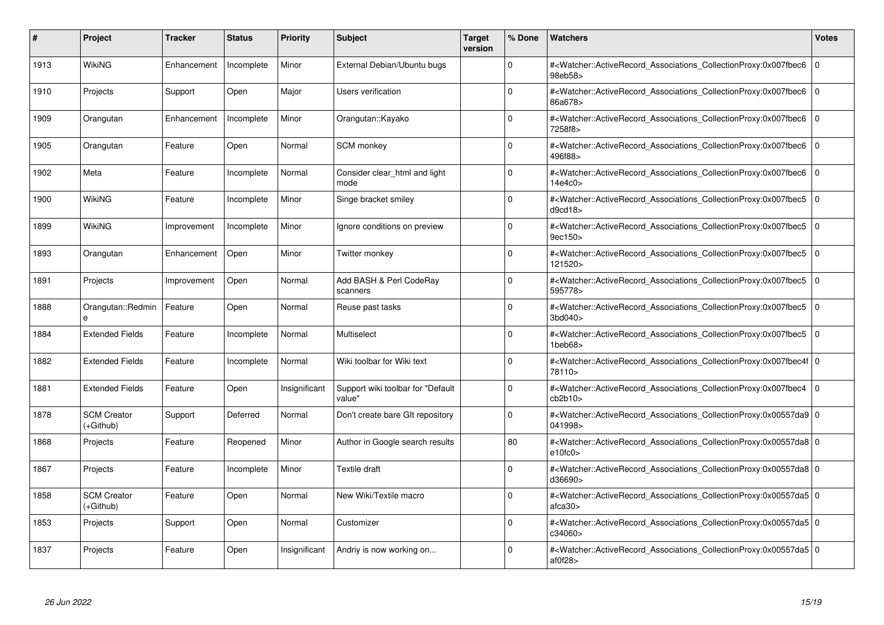| #    | Project                         | Tracker     | <b>Status</b> | <b>Priority</b> | <b>Subject</b>                               | <b>Target</b><br>version | % Done      | <b>Watchers</b>                                                                                                                                           | <b>Votes</b> |
|------|---------------------------------|-------------|---------------|-----------------|----------------------------------------------|--------------------------|-------------|-----------------------------------------------------------------------------------------------------------------------------------------------------------|--------------|
| 1913 | WikiNG                          | Enhancement | Incomplete    | Minor           | External Debian/Ubuntu bugs                  |                          | $\Omega$    | # <watcher::activerecord_associations_collectionproxy:0x007fbec6<br>98eb58&gt;</watcher::activerecord_associations_collectionproxy:0x007fbec6<br>         | $\mathbf 0$  |
| 1910 | Projects                        | Support     | Open          | Major           | Users verification                           |                          | $\Omega$    | # <watcher::activerecord 0<br="" associations="" collectionproxy:0x007fbec6=""  ="">86a678&gt;</watcher::activerecord>                                    |              |
| 1909 | Orangutan                       | Enhancement | Incomplete    | Minor           | Orangutan::Kayako                            |                          | $\Omega$    | # <watcher::activerecord associations="" collectionproxy:0x007fbec6<br="">7258f8&gt;</watcher::activerecord>                                              | $\mathbf 0$  |
| 1905 | Orangutan                       | Feature     | Open          | Normal          | SCM monkey                                   |                          | $\Omega$    | # <watcher::activerecord_associations_collectionproxy:0x007fbec6 0<br=""  ="">496f88&gt;</watcher::activerecord_associations_collectionproxy:0x007fbec6>  |              |
| 1902 | Meta                            | Feature     | Incomplete    | Normal          | Consider clear html and light<br>mode        |                          | $\Omega$    | # <watcher::activerecord associations="" collectionproxy:0x007fbec6<br="">14e4c0&gt;</watcher::activerecord>                                              | $\mathbf 0$  |
| 1900 | WikiNG                          | Feature     | Incomplete    | Minor           | Singe bracket smiley                         |                          | $\Omega$    | # <watcher::activerecord associations="" collectionproxy:0x007fbec5<br="">d9cd18</watcher::activerecord>                                                  | $\mathbf 0$  |
| 1899 | <b>WikiNG</b>                   | Improvement | Incomplete    | Minor           | Ignore conditions on preview                 |                          | $\Omega$    | # <watcher::activerecord_associations_collectionproxy:0x007fbec5<br>9ec150&gt;</watcher::activerecord_associations_collectionproxy:0x007fbec5<br>         | $\mathbf 0$  |
| 1893 | Orangutan                       | Enhancement | Open          | Minor           | Twitter monkey                               |                          | $\Omega$    | # <watcher::activerecord associations="" collectionproxy:0x007fbec5<br="">121520&gt;</watcher::activerecord>                                              | $\mathbf 0$  |
| 1891 | Projects                        | Improvement | Open          | Normal          | Add BASH & Perl CodeRay<br>scanners          |                          | $\Omega$    | # <watcher::activerecord associations="" collectionproxy:0x007fbec5<br="">595778&gt;</watcher::activerecord>                                              | $\mathbf 0$  |
| 1888 | Orangutan::Redmin<br>e          | Feature     | Open          | Normal          | Reuse past tasks                             |                          | $\Omega$    | # <watcher::activerecord associations="" collectionproxy:0x007fbec5<br="">3bd040&gt;</watcher::activerecord>                                              | $\mathbf 0$  |
| 1884 | <b>Extended Fields</b>          | Feature     | Incomplete    | Normal          | Multiselect                                  |                          | $\Omega$    | # <watcher::activerecord_associations_collectionproxy:0x007fbec5  <br="">1beb68&gt;</watcher::activerecord_associations_collectionproxy:0x007fbec5>       | $\mathbf 0$  |
| 1882 | <b>Extended Fields</b>          | Feature     | Incomplete    | Normal          | Wiki toolbar for Wiki text                   |                          | $\Omega$    | # <watcher::activerecord_associations_collectionproxy:0x007fbec4f 0<br=""  ="">78110&gt;</watcher::activerecord_associations_collectionproxy:0x007fbec4f> |              |
| 1881 | <b>Extended Fields</b>          | Feature     | Open          | Insignificant   | Support wiki toolbar for "Default"<br>value" |                          | $\Omega$    | # <watcher::activerecord 0<br="" associations="" collectionproxy:0x007fbec4=""  ="">cb2b10</watcher::activerecord>                                        |              |
| 1878 | <b>SCM Creator</b><br>(+Github) | Support     | Deferred      | Normal          | Don't create bare GIt repository             |                          | $\mathbf 0$ | # <watcher::activerecord_associations_collectionproxy:0x00557da9 0<br=""  ="">041998&gt;</watcher::activerecord_associations_collectionproxy:0x00557da9>  |              |
| 1868 | Projects                        | Feature     | Reopened      | Minor           | Author in Google search results              |                          | 80          | # <watcher::activerecord_associations_collectionproxy:0x00557da8 0<br=""  ="">e10fc0</watcher::activerecord_associations_collectionproxy:0x00557da8>      |              |
| 1867 | Projects                        | Feature     | Incomplete    | Minor           | Textile draft                                |                          | $\Omega$    | # <watcher::activerecord 0<br="" associations="" collectionproxy:0x00557da8=""  ="">d36690&gt;</watcher::activerecord>                                    |              |
| 1858 | <b>SCM Creator</b><br>(+Github) | Feature     | Open          | Normal          | New Wiki/Textile macro                       |                          | $\Omega$    | # <watcher::activerecord 0<br="" associations="" collectionproxy:0x00557da5=""  ="">atca30&gt;</watcher::activerecord>                                    |              |
| 1853 | Projects                        | Support     | Open          | Normal          | Customizer                                   |                          | $\Omega$    | # <watcher::activerecord_associations_collectionproxy:0x00557da5 0<br=""  ="">c34060&gt;</watcher::activerecord_associations_collectionproxy:0x00557da5>  |              |
| 1837 | Projects                        | Feature     | Open          | Insignificant   | Andriy is now working on                     |                          | $\Omega$    | # <watcher::activerecord_associations_collectionproxy:0x00557da5 0<br=""  ="">af0f28</watcher::activerecord_associations_collectionproxy:0x00557da5>      |              |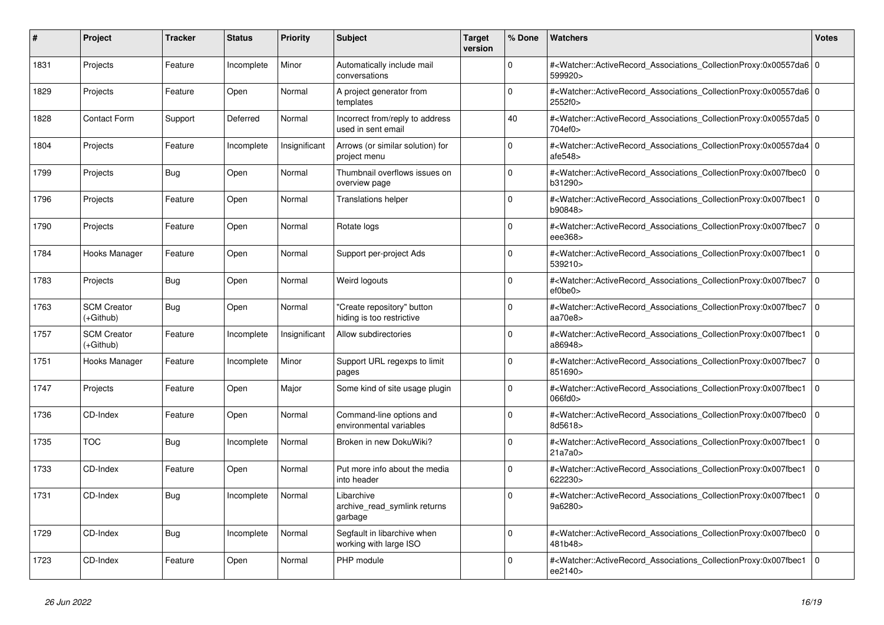| $\vert$ # | <b>Project</b>                  | <b>Tracker</b> | <b>Status</b> | <b>Priority</b> | <b>Subject</b>                                          | <b>Target</b><br>version | % Done      | Watchers                                                                                                                                                 | <b>Votes</b>   |
|-----------|---------------------------------|----------------|---------------|-----------------|---------------------------------------------------------|--------------------------|-------------|----------------------------------------------------------------------------------------------------------------------------------------------------------|----------------|
| 1831      | Projects                        | Feature        | Incomplete    | Minor           | Automatically include mail<br>conversations             |                          | $\Omega$    | # <watcher::activerecord 0<br="" associations="" collectionproxy:0x00557da6=""  ="">599920&gt;</watcher::activerecord>                                   |                |
| 1829      | Projects                        | Feature        | Open          | Normal          | A project generator from<br>templates                   |                          | 0           | # <watcher::activerecord_associations_collectionproxy:0x00557da6 0<br=""  ="">2552f0&gt;</watcher::activerecord_associations_collectionproxy:0x00557da6> |                |
| 1828      | <b>Contact Form</b>             | Support        | Deferred      | Normal          | Incorrect from/reply to address<br>used in sent email   |                          | 40          | # <watcher::activerecord_associations_collectionproxy:0x00557da5 0<br=""  ="">704ef0&gt;</watcher::activerecord_associations_collectionproxy:0x00557da5> |                |
| 1804      | Projects                        | Feature        | Incomplete    | Insignificant   | Arrows (or similar solution) for<br>project menu        |                          | $\Omega$    | # <watcher::activerecord 0<br="" associations="" collectionproxy:0x00557da4=""  ="">afe548</watcher::activerecord>                                       |                |
| 1799      | Projects                        | Bug            | Open          | Normal          | Thumbnail overflows issues on<br>overview page          |                          | $\mathbf 0$ | # <watcher::activerecord_associations_collectionproxy:0x007fbec0<br>b31290&gt;</watcher::activerecord_associations_collectionproxy:0x007fbec0<br>        | $\mathbf 0$    |
| 1796      | Projects                        | Feature        | Open          | Normal          | <b>Translations helper</b>                              |                          | $\Omega$    | # <watcher::activerecord associations="" collectionproxy:0x007fbec1<br="">b90848&gt;</watcher::activerecord>                                             | 0              |
| 1790      | Projects                        | Feature        | Open          | Normal          | Rotate logs                                             |                          | $\Omega$    | # <watcher::activerecord_associations_collectionproxy:0x007fbec7<br>eee368&gt;</watcher::activerecord_associations_collectionproxy:0x007fbec7<br>        | $\overline{0}$ |
| 1784      | Hooks Manager                   | Feature        | Open          | Normal          | Support per-project Ads                                 |                          | $\Omega$    | # <watcher::activerecord_associations_collectionproxy:0x007fbec1<br>539210&gt;</watcher::activerecord_associations_collectionproxy:0x007fbec1<br>        | $\overline{0}$ |
| 1783      | Projects                        | Bug            | Open          | Normal          | Weird logouts                                           |                          | $\Omega$    | # <watcher::activerecord_associations_collectionproxy:0x007fbec7<br>ef0be0&gt;</watcher::activerecord_associations_collectionproxy:0x007fbec7<br>        | 0              |
| 1763      | <b>SCM Creator</b><br>(+Github) | Bug            | Open          | Normal          | "Create repository" button<br>hiding is too restrictive |                          | $\Omega$    | # <watcher::activerecord associations="" collectionproxy:0x007fbec7<br="">aa70e8&gt;</watcher::activerecord>                                             | 0              |
| 1757      | <b>SCM Creator</b><br>(+Github) | Feature        | Incomplete    | Insignificant   | Allow subdirectories                                    |                          | $\mathbf 0$ | # <watcher::activerecord_associations_collectionproxy:0x007fbec1<br>a86948&gt;</watcher::activerecord_associations_collectionproxy:0x007fbec1<br>        | 0              |
| 1751      | Hooks Manager                   | Feature        | Incomplete    | Minor           | Support URL regexps to limit<br>pages                   |                          | $\Omega$    | # <watcher::activerecord_associations_collectionproxy:0x007fbec7<br>851690&gt;</watcher::activerecord_associations_collectionproxy:0x007fbec7<br>        | $\overline{0}$ |
| 1747      | Projects                        | Feature        | Open          | Major           | Some kind of site usage plugin                          |                          | $\Omega$    | # <watcher::activerecord_associations_collectionproxy:0x007fbec1<br>066fd0&gt;</watcher::activerecord_associations_collectionproxy:0x007fbec1<br>        | $\overline{0}$ |
| 1736      | CD-Index                        | Feature        | Open          | Normal          | Command-line options and<br>environmental variables     |                          | $\Omega$    | # <watcher::activerecord_associations_collectionproxy:0x007fbec0<br>8d5618&gt;</watcher::activerecord_associations_collectionproxy:0x007fbec0<br>        | $\overline{0}$ |
| 1735      | <b>TOC</b>                      | Bug            | Incomplete    | Normal          | Broken in new DokuWiki?                                 |                          | $\Omega$    | # <watcher::activerecord associations="" collectionproxy:0x007fbec1<br="">21a7a0&gt;</watcher::activerecord>                                             | 0              |
| 1733      | CD-Index                        | Feature        | Open          | Normal          | Put more info about the media<br>into header            |                          | $\Omega$    | # <watcher::activerecord associations="" collectionproxy:0x007fbec1<br="">622230&gt;</watcher::activerecord>                                             | 0              |
| 1731      | CD-Index                        | Bug            | Incomplete    | Normal          | Libarchive<br>archive read symlink returns<br>garbage   |                          | $\Omega$    | # <watcher::activerecord_associations_collectionproxy:0x007fbec1<br>9a6280&gt;</watcher::activerecord_associations_collectionproxy:0x007fbec1<br>        | $\overline{0}$ |
| 1729      | CD-Index                        | <b>Bug</b>     | Incomplete    | Normal          | Segfault in libarchive when<br>working with large ISO   |                          | $\Omega$    | # <watcher::activerecord_associations_collectionproxy:0x007fbec0<br>481b48&gt;</watcher::activerecord_associations_collectionproxy:0x007fbec0<br>        | 0              |
| 1723      | CD-Index                        | Feature        | Open          | Normal          | PHP module                                              |                          | $\Omega$    | # <watcher::activerecord_associations_collectionproxy:0x007fbec1<br>ee2140&gt;</watcher::activerecord_associations_collectionproxy:0x007fbec1<br>        | $\overline{0}$ |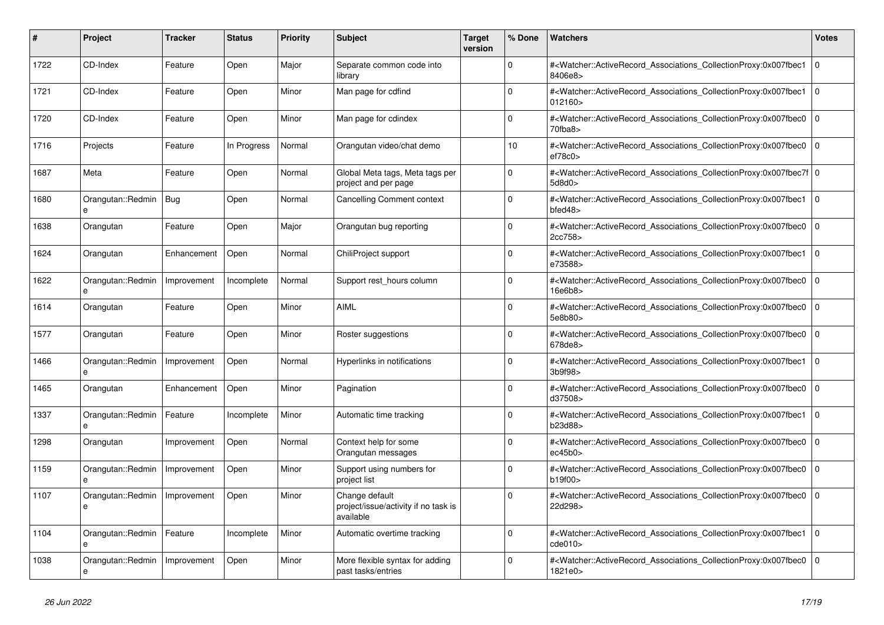| #    | <b>Project</b>         | Tracker     | <b>Status</b> | <b>Priority</b> | <b>Subject</b>                                                      | <b>Target</b><br>version | % Done   | <b>Watchers</b>                                                                                                                                          | <b>Votes</b> |
|------|------------------------|-------------|---------------|-----------------|---------------------------------------------------------------------|--------------------------|----------|----------------------------------------------------------------------------------------------------------------------------------------------------------|--------------|
| 1722 | CD-Index               | Feature     | Open          | Major           | Separate common code into<br>library                                |                          | $\Omega$ | # <watcher::activerecord_associations_collectionproxy:0x007fbec1<br>8406e8&gt;</watcher::activerecord_associations_collectionproxy:0x007fbec1<br>        | $\mathbf 0$  |
| 1721 | CD-Index               | Feature     | Open          | Minor           | Man page for cdfind                                                 |                          | $\Omega$ | # <watcher::activerecord associations="" collectionproxy:0x007fbec1<br="">012160&gt;</watcher::activerecord>                                             | $\Omega$     |
| 1720 | CD-Index               | Feature     | Open          | Minor           | Man page for cdindex                                                |                          | $\Omega$ | # <watcher::activerecord_associations_collectionproxy:0x007fbec0 0<br="">70fba8</watcher::activerecord_associations_collectionproxy:0x007fbec0>          |              |
| 1716 | Projects               | Feature     | In Progress   | Normal          | Orangutan video/chat demo                                           |                          | 10       | # <watcher::activerecord_associations_collectionproxy:0x007fbec0<br>ef78c0</watcher::activerecord_associations_collectionproxy:0x007fbec0<br>            | $\mathbf 0$  |
| 1687 | Meta                   | Feature     | Open          | Normal          | Global Meta tags, Meta tags per<br>project and per page             |                          | $\Omega$ | # <watcher::activerecord_associations_collectionproxy:0x007fbec7f 0<br=""  ="">5d8d0</watcher::activerecord_associations_collectionproxy:0x007fbec7f>    |              |
| 1680 | Orangutan::Redmin      | Bug         | Open          | Normal          | Cancelling Comment context                                          |                          | $\Omega$ | # <watcher::activerecord_associations_collectionproxy:0x007fbec1 0<br=""  ="">bfed48</watcher::activerecord_associations_collectionproxy:0x007fbec1>     |              |
| 1638 | Orangutan              | Feature     | Open          | Major           | Orangutan bug reporting                                             |                          | $\Omega$ | # <watcher::activerecord_associations_collectionproxy:0x007fbec0<br>2cc758&gt;</watcher::activerecord_associations_collectionproxy:0x007fbec0<br>        | $\mathbf 0$  |
| 1624 | Orangutan              | Enhancement | Open          | Normal          | ChiliProject support                                                |                          | $\Omega$ | # <watcher::activerecord_associations_collectionproxy:0x007fbec1<br>e73588&gt;</watcher::activerecord_associations_collectionproxy:0x007fbec1<br>        | $\mathbf 0$  |
| 1622 | Orangutan::Redmin<br>e | Improvement | Incomplete    | Normal          | Support rest_hours column                                           |                          | $\Omega$ | # <watcher::activerecord_associations_collectionproxy:0x007fbec0 0<br=""  ="">16e6b8&gt;</watcher::activerecord_associations_collectionproxy:0x007fbec0> |              |
| 1614 | Orangutan              | Feature     | Open          | Minor           | <b>AIML</b>                                                         |                          | $\Omega$ | # <watcher::activerecord associations="" collectionproxy:0x007fbec0<br="">5e8b80&gt;</watcher::activerecord>                                             | $\mathbf 0$  |
| 1577 | Orangutan              | Feature     | Open          | Minor           | Roster suggestions                                                  |                          | $\Omega$ | # <watcher::activerecord_associations_collectionproxy:0x007fbec0<br>678de8&gt;</watcher::activerecord_associations_collectionproxy:0x007fbec0<br>        | $\mathbf 0$  |
| 1466 | Orangutan::Redmin      | Improvement | Open          | Normal          | Hyperlinks in notifications                                         |                          | $\Omega$ | # <watcher::activerecord associations="" collectionproxy:0x007fbec1<br="">3b9f98</watcher::activerecord>                                                 | $\Omega$     |
| 1465 | Orangutan              | Enhancement | Open          | Minor           | Pagination                                                          |                          | $\Omega$ | # <watcher::activerecord_associations_collectionproxy:0x007fbec0<br>d37508&gt;</watcher::activerecord_associations_collectionproxy:0x007fbec0<br>        | $\Omega$     |
| 1337 | Orangutan::Redmin<br>e | Feature     | Incomplete    | Minor           | Automatic time tracking                                             |                          | $\Omega$ | # <watcher::activerecord_associations_collectionproxy:0x007fbec1<br>b23d88&gt;</watcher::activerecord_associations_collectionproxy:0x007fbec1<br>        | $\mathbf 0$  |
| 1298 | Orangutan              | Improvement | Open          | Normal          | Context help for some<br>Orangutan messages                         |                          | $\Omega$ | # <watcher::activerecord_associations_collectionproxy:0x007fbec0 0<br=""  ="">ec45b0</watcher::activerecord_associations_collectionproxy:0x007fbec0>     |              |
| 1159 | Orangutan::Redmin      | Improvement | Open          | Minor           | Support using numbers for<br>project list                           |                          | $\Omega$ | # <watcher::activerecord_associations_collectionproxy:0x007fbec0<br>b19f00&gt;</watcher::activerecord_associations_collectionproxy:0x007fbec0<br>        | $\mathbf 0$  |
| 1107 | Orangutan::Redmin<br>e | Improvement | Open          | Minor           | Change default<br>project/issue/activity if no task is<br>available |                          | $\Omega$ | # <watcher::activerecord_associations_collectionproxy:0x007fbec0<br>22d298&gt;</watcher::activerecord_associations_collectionproxy:0x007fbec0<br>        | $\mathbf 0$  |
| 1104 | Orangutan::Redmin<br>e | Feature     | Incomplete    | Minor           | Automatic overtime tracking                                         |                          | $\Omega$ | # <watcher::activerecord 0<br="" associations="" collectionproxy:0x007fbec1=""  ="">cde010</watcher::activerecord>                                       |              |
| 1038 | Orangutan::Redmin<br>e | Improvement | Open          | Minor           | More flexible syntax for adding<br>past tasks/entries               |                          | $\Omega$ | # <watcher::activerecord_associations_collectionproxy:0x007fbec0<br>1821e0&gt;</watcher::activerecord_associations_collectionproxy:0x007fbec0<br>        | $\mathbf 0$  |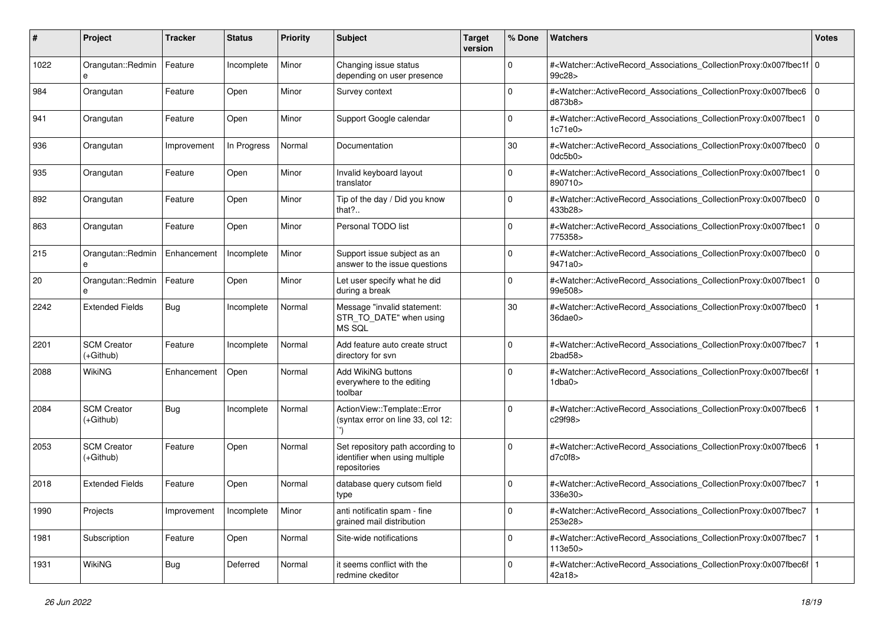| #    | Project                           | Tracker     | <b>Status</b> | <b>Priority</b> | <b>Subject</b>                                                                     | <b>Target</b><br>version | % Done      | Watchers                                                                                                                                                     | <b>Votes</b>   |
|------|-----------------------------------|-------------|---------------|-----------------|------------------------------------------------------------------------------------|--------------------------|-------------|--------------------------------------------------------------------------------------------------------------------------------------------------------------|----------------|
| 1022 | Orangutan::Redmin<br>e            | Feature     | Incomplete    | Minor           | Changing issue status<br>depending on user presence                                |                          | $\mathbf 0$ | # <watcher::activerecord_associations_collectionproxy:0x007fbec1f 0<br=""  ="">99c28&gt;</watcher::activerecord_associations_collectionproxy:0x007fbec1f>    |                |
| 984  | Orangutan                         | Feature     | Open          | Minor           | Survey context                                                                     |                          | $\mathbf 0$ | # <watcher::activerecord_associations_collectionproxy:0x007fbec6 0<br="">d873b8&gt;</watcher::activerecord_associations_collectionproxy:0x007fbec6>          |                |
| 941  | Orangutan                         | Feature     | Open          | Minor           | Support Google calendar                                                            |                          | $\mathbf 0$ | # <watcher::activerecord_associations_collectionproxy:0x007fbec1<br>1c71e0</watcher::activerecord_associations_collectionproxy:0x007fbec1<br>                | l o            |
| 936  | Orangutan                         | Improvement | In Progress   | Normal          | Documentation                                                                      |                          | 30          | # <watcher::activerecord_associations_collectionproxy:0x007fbec0<br>0dc5b0<sub>&gt;</sub></watcher::activerecord_associations_collectionproxy:0x007fbec0<br> | $\mathbf 0$    |
| 935  | Orangutan                         | Feature     | Open          | Minor           | Invalid keyboard layout<br>translator                                              |                          | $\mathbf 0$ | # <watcher::activerecord_associations_collectionproxy:0x007fbec1<br>890710&gt;</watcher::activerecord_associations_collectionproxy:0x007fbec1<br>            | $\overline{0}$ |
| 892  | Orangutan                         | Feature     | Open          | Minor           | Tip of the day / Did you know<br>that?                                             |                          | $\Omega$    | # <watcher::activerecord_associations_collectionproxy:0x007fbec0<br>433b28&gt;</watcher::activerecord_associations_collectionproxy:0x007fbec0<br>            | $\Omega$       |
| 863  | Orangutan                         | Feature     | Open          | Minor           | Personal TODO list                                                                 |                          | $\mathbf 0$ | # <watcher::activerecord_associations_collectionproxy:0x007fbec1<br>775358&gt;</watcher::activerecord_associations_collectionproxy:0x007fbec1<br>            | l 0            |
| 215  | Orangutan::Redmin<br>e            | Enhancement | Incomplete    | Minor           | Support issue subject as an<br>answer to the issue questions                       |                          | $\mathbf 0$ | # <watcher::activerecord_associations_collectionproxy:0x007fbec0<br>9471a0&gt;</watcher::activerecord_associations_collectionproxy:0x007fbec0<br>            | $\Omega$       |
| 20   | Orangutan::Redmin<br>e            | Feature     | Open          | Minor           | Let user specify what he did<br>during a break                                     |                          | $\mathbf 0$ | # <watcher::activerecord_associations_collectionproxy:0x007fbec1<br>99e508&gt;</watcher::activerecord_associations_collectionproxy:0x007fbec1<br>            | l o            |
| 2242 | <b>Extended Fields</b>            | Bug         | Incomplete    | Normal          | Message "invalid statement:<br>STR_TO_DATE" when using<br>MS SQL                   |                          | 30          | # <watcher::activerecord_associations_collectionproxy:0x007fbec0<br>36dae0&gt;</watcher::activerecord_associations_collectionproxy:0x007fbec0<br>            |                |
| 2201 | <b>SCM Creator</b><br>$(+Github)$ | Feature     | Incomplete    | Normal          | Add feature auto create struct<br>directory for svn                                |                          | $\Omega$    | # <watcher::activerecord_associations_collectionproxy:0x007fbec7<br>2bad58</watcher::activerecord_associations_collectionproxy:0x007fbec7<br>                |                |
| 2088 | WikiNG                            | Enhancement | Open          | Normal          | Add WikiNG buttons<br>everywhere to the editing<br>toolbar                         |                          | $\Omega$    | # <watcher::activerecord_associations_collectionproxy:0x007fbec6f 1<br=""  ="">1dba0</watcher::activerecord_associations_collectionproxy:0x007fbec6f>        |                |
| 2084 | <b>SCM Creator</b><br>$(+Github)$ | Bug         | Incomplete    | Normal          | ActionView::Template::Error<br>(syntax error on line 33, col 12:                   |                          | $\Omega$    | # <watcher::activerecord_associations_collectionproxy:0x007fbec6<br>c29f98&gt;</watcher::activerecord_associations_collectionproxy:0x007fbec6<br>            |                |
| 2053 | <b>SCM Creator</b><br>$(+Github)$ | Feature     | Open          | Normal          | Set repository path according to<br>identifier when using multiple<br>repositories |                          | $\Omega$    | # <watcher::activerecord_associations_collectionproxy:0x007fbec6<br>d7c0f8</watcher::activerecord_associations_collectionproxy:0x007fbec6<br>                |                |
| 2018 | <b>Extended Fields</b>            | Feature     | Open          | Normal          | database query cutsom field<br>type                                                |                          | 0           | # <watcher::activerecord_associations_collectionproxy:0x007fbec7<br>336e30&gt;</watcher::activerecord_associations_collectionproxy:0x007fbec7<br>            |                |
| 1990 | Projects                          | Improvement | Incomplete    | Minor           | anti notificatin spam - fine<br>grained mail distribution                          |                          | 0           | # <watcher::activerecord_associations_collectionproxy:0x007fbec7<br>253e28&gt;</watcher::activerecord_associations_collectionproxy:0x007fbec7<br>            | $\vert$ 1      |
| 1981 | Subscription                      | Feature     | Open          | Normal          | Site-wide notifications                                                            |                          | $\mathsf 0$ | # <watcher::activerecord_associations_collectionproxy:0x007fbec7 1<br=""  ="">113e50&gt;</watcher::activerecord_associations_collectionproxy:0x007fbec7>     |                |
| 1931 | WikiNG                            | <b>Bug</b>  | Deferred      | Normal          | it seems conflict with the<br>redmine ckeditor                                     |                          | 0           | # <watcher::activerecord_associations_collectionproxy:0x007fbec6f 1<br=""  ="">42a18&gt;</watcher::activerecord_associations_collectionproxy:0x007fbec6f>    |                |